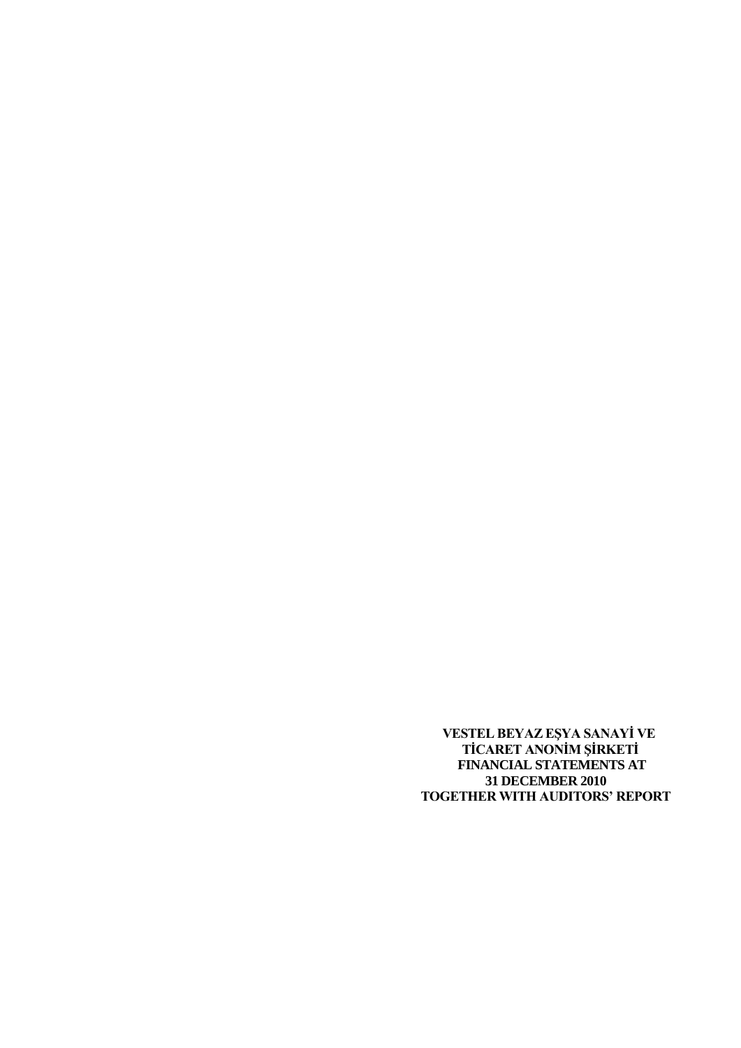**VESTEL BEYAZ EŞYA SANAYİ VE TİCARET ANONİM ŞİRKETİ FINANCIAL STATEMENTS AT 31 DECEMBER 2010 TOGETHER WITH AUDITORS' REPORT**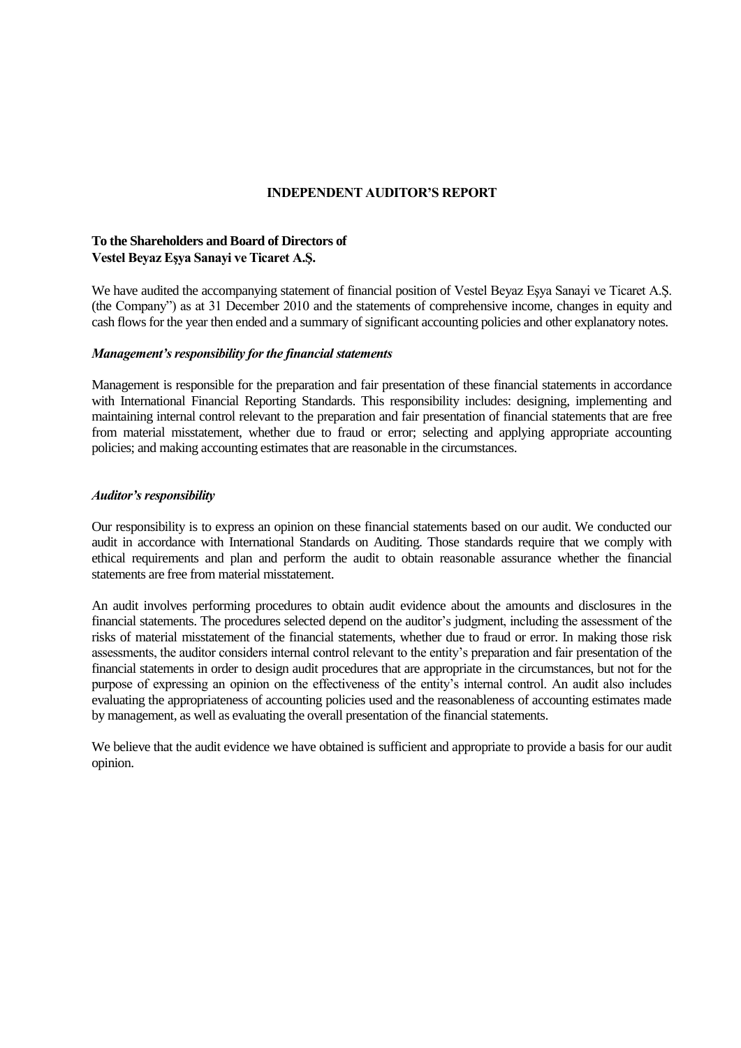## **INDEPENDENT AUDITOR'S REPORT**

# **To the Shareholders and Board of Directors of Vestel Beyaz Eşya Sanayi ve Ticaret A.Ş.**

We have audited the accompanying statement of financial position of Vestel Beyaz Esya Sanayi ve Ticaret A.Ş. (the Company") as at 31 December 2010 and the statements of comprehensive income, changes in equity and cash flows for the year then ended and a summary of significant accounting policies and other explanatory notes.

### *Management's responsibility for the financial statements*

Management is responsible for the preparation and fair presentation of these financial statements in accordance with International Financial Reporting Standards. This responsibility includes: designing, implementing and maintaining internal control relevant to the preparation and fair presentation of financial statements that are free from material misstatement, whether due to fraud or error; selecting and applying appropriate accounting policies; and making accounting estimates that are reasonable in the circumstances.

### *Auditor's responsibility*

Our responsibility is to express an opinion on these financial statements based on our audit. We conducted our audit in accordance with International Standards on Auditing. Those standards require that we comply with ethical requirements and plan and perform the audit to obtain reasonable assurance whether the financial statements are free from material misstatement.

An audit involves performing procedures to obtain audit evidence about the amounts and disclosures in the financial statements. The procedures selected depend on the auditor's judgment, including the assessment of the risks of material misstatement of the financial statements, whether due to fraud or error. In making those risk assessments, the auditor considers internal control relevant to the entity's preparation and fair presentation of the financial statements in order to design audit procedures that are appropriate in the circumstances, but not for the purpose of expressing an opinion on the effectiveness of the entity's internal control. An audit also includes evaluating the appropriateness of accounting policies used and the reasonableness of accounting estimates made by management, as well as evaluating the overall presentation of the financial statements.

We believe that the audit evidence we have obtained is sufficient and appropriate to provide a basis for our audit opinion.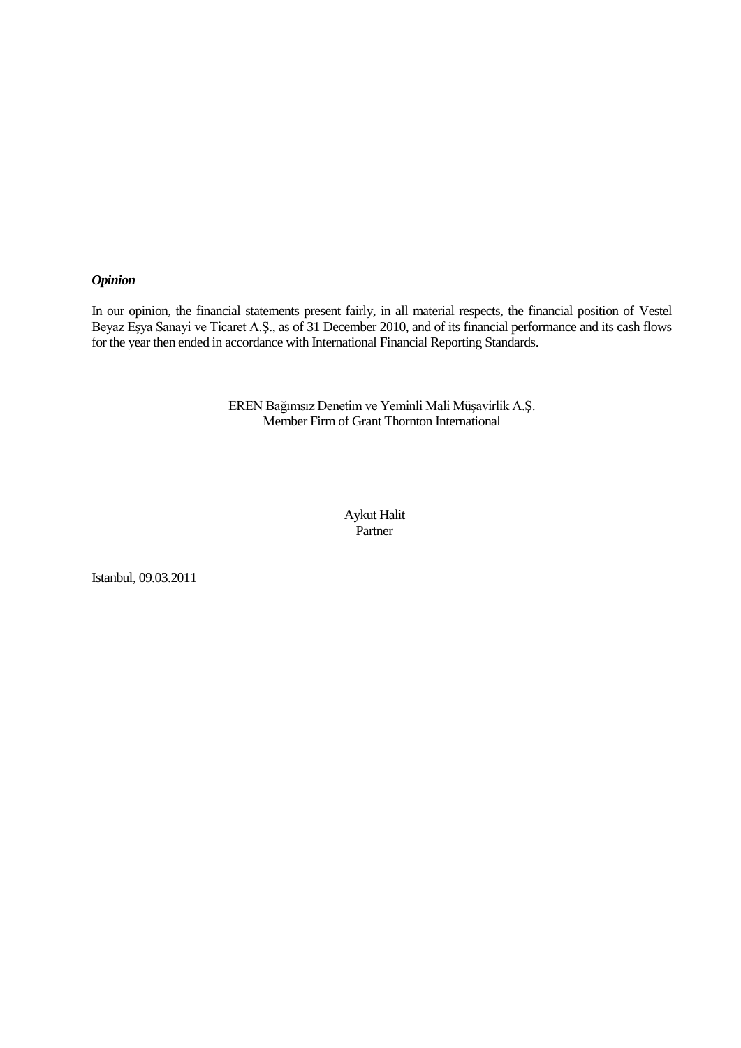# *Opinion*

In our opinion, the financial statements present fairly, in all material respects, the financial position of Vestel Beyaz Eşya Sanayi ve Ticaret A.Ş., as of 31 December 2010, and of its financial performance and its cash flows for the year then ended in accordance with International Financial Reporting Standards.

> EREN Bağımsız Denetim ve Yeminli Mali Müşavirlik A.Ş. Member Firm of Grant Thornton International

> > Aykut Halit Partner

Istanbul, 09.03.2011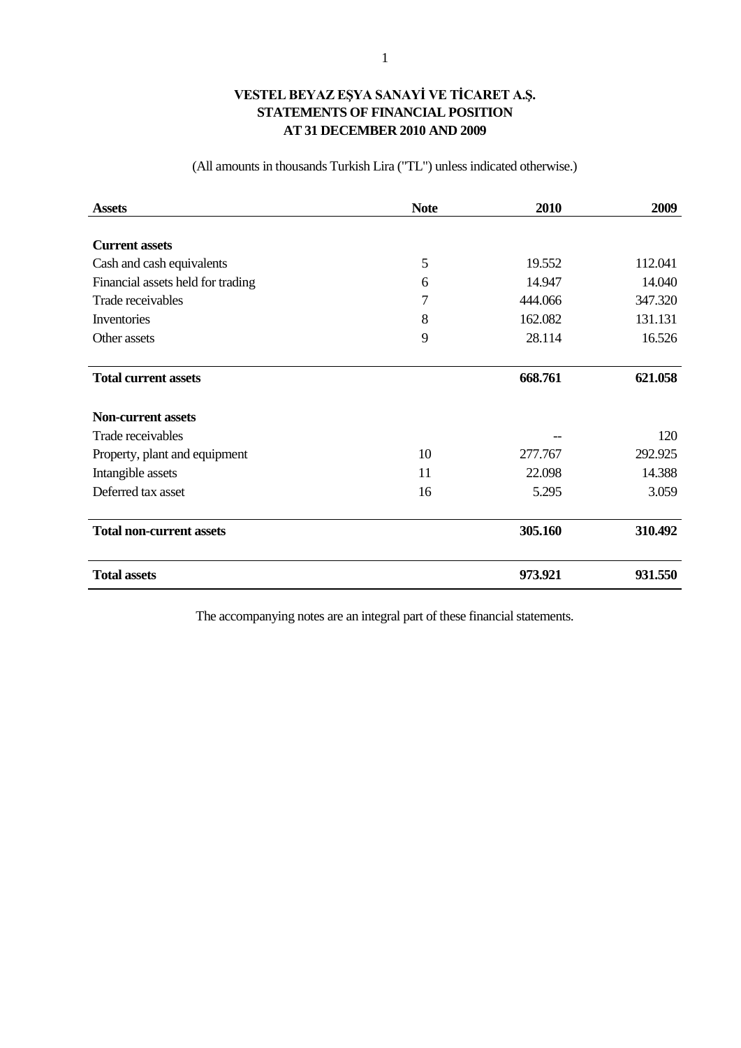# **VESTEL BEYAZ EŞYA SANAYİ VE TİCARET A.Ş. STATEMENTS OF FINANCIAL POSITION AT 31 DECEMBER 2010 AND 2009**

(All amounts in thousands Turkish Lira ("TL") unless indicated otherwise.)

| <b>Assets</b>                     | <b>Note</b> | 2010    | 2009    |
|-----------------------------------|-------------|---------|---------|
|                                   |             |         |         |
| <b>Current assets</b>             |             |         |         |
| Cash and cash equivalents         | 5           | 19.552  | 112.041 |
| Financial assets held for trading | 6           | 14.947  | 14.040  |
| Trade receivables                 | 7           | 444.066 | 347.320 |
| Inventories                       | 8           | 162.082 | 131.131 |
| Other assets                      | 9           | 28.114  | 16.526  |
| <b>Total current assets</b>       |             | 668.761 | 621.058 |
| <b>Non-current assets</b>         |             |         |         |
| Trade receivables                 |             |         | 120     |
| Property, plant and equipment     | 10          | 277.767 | 292.925 |
| Intangible assets                 | 11          | 22.098  | 14.388  |
| Deferred tax asset                | 16          | 5.295   | 3.059   |
| <b>Total non-current assets</b>   |             | 305.160 | 310.492 |
| <b>Total assets</b>               |             | 973.921 | 931.550 |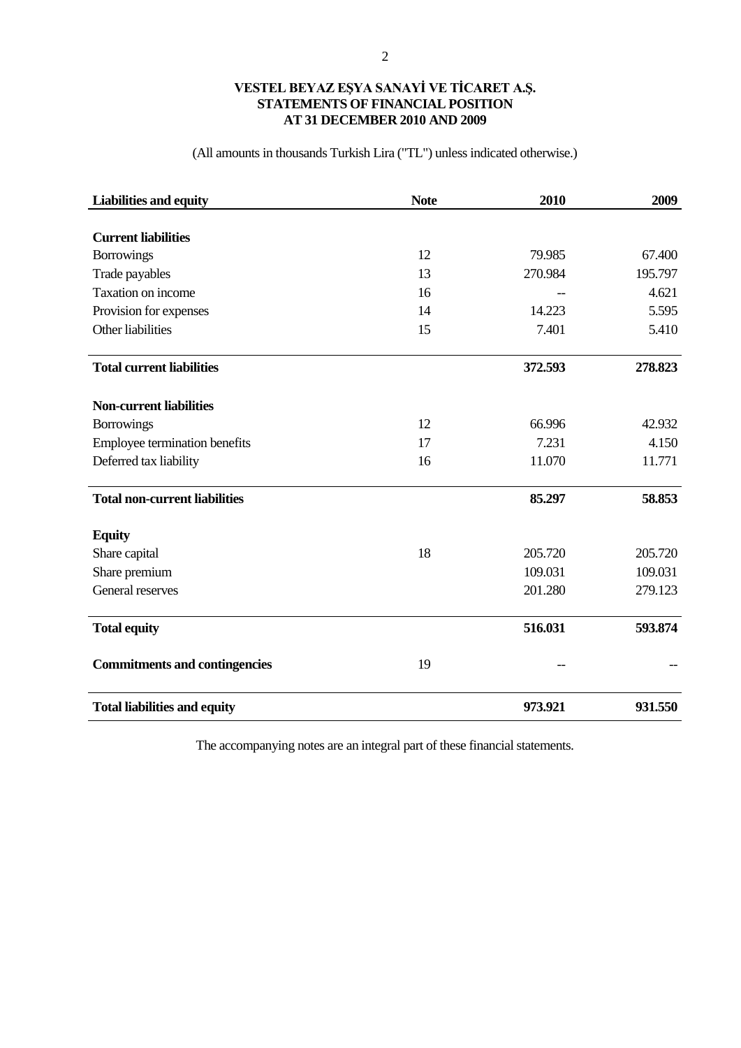# **VESTEL BEYAZ EŞYA SANAYİ VE TİCARET A.Ş. STATEMENTS OF FINANCIAL POSITION AT 31 DECEMBER 2010 AND 2009**

(All amounts in thousands Turkish Lira ("TL") unless indicated otherwise.)

| <b>Liabilities and equity</b>        | <b>Note</b> | 2010    | 2009    |
|--------------------------------------|-------------|---------|---------|
|                                      |             |         |         |
| <b>Current liabilities</b>           |             |         |         |
| <b>Borrowings</b>                    | 12          | 79.985  | 67.400  |
| Trade payables                       | 13          | 270.984 | 195.797 |
| Taxation on income                   | 16          |         | 4.621   |
| Provision for expenses               | 14          | 14.223  | 5.595   |
| Other liabilities                    | 15          | 7.401   | 5.410   |
| <b>Total current liabilities</b>     |             | 372.593 | 278.823 |
| <b>Non-current liabilities</b>       |             |         |         |
| <b>Borrowings</b>                    | 12          | 66.996  | 42.932  |
| Employee termination benefits        | 17          | 7.231   | 4.150   |
| Deferred tax liability               | 16          | 11.070  | 11.771  |
| <b>Total non-current liabilities</b> |             | 85.297  | 58.853  |
| <b>Equity</b>                        |             |         |         |
| Share capital                        | 18          | 205.720 | 205.720 |
| Share premium                        |             | 109.031 | 109.031 |
| General reserves                     |             | 201.280 | 279.123 |
| <b>Total equity</b>                  |             | 516.031 | 593.874 |
| <b>Commitments and contingencies</b> | 19          |         |         |
| <b>Total liabilities and equity</b>  |             | 973.921 | 931.550 |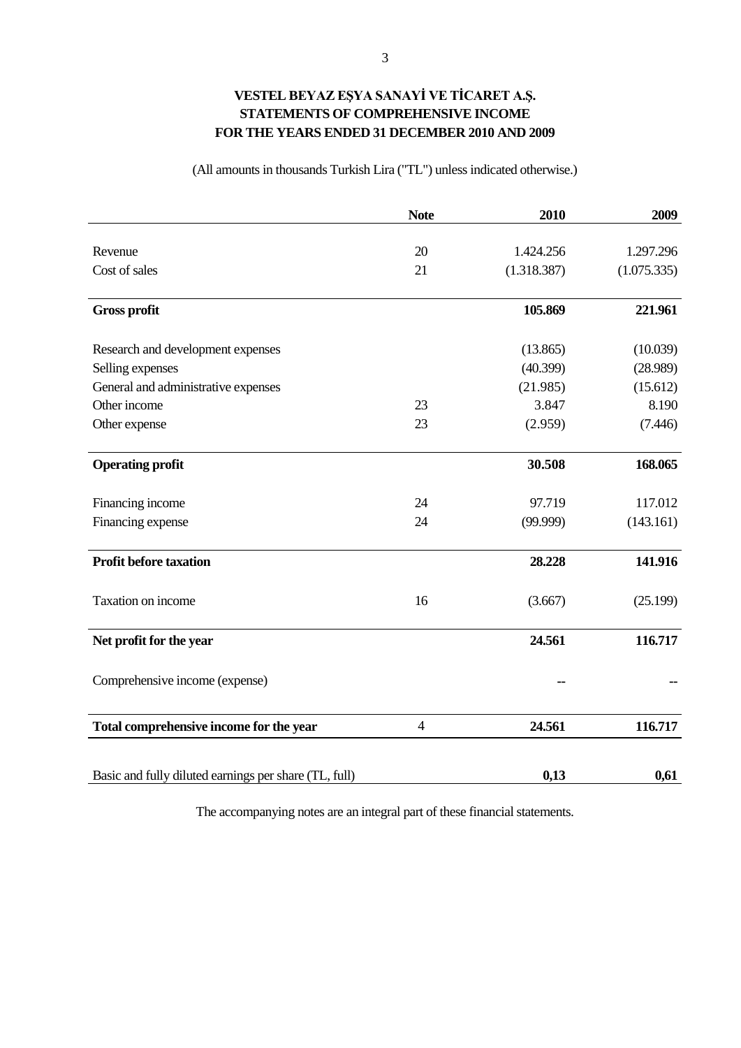# **VESTEL BEYAZ EŞYA SANAYİ VE TİCARET A.Ş. STATEMENTS OF COMPREHENSIVE INCOME FOR THE YEARS ENDED 31 DECEMBER 2010 AND 2009**

# (All amounts in thousands Turkish Lira ("TL") unless indicated otherwise.)

|                                                       | <b>Note</b>    | 2010        | 2009        |
|-------------------------------------------------------|----------------|-------------|-------------|
| Revenue                                               | 20             | 1.424.256   | 1.297.296   |
| Cost of sales                                         | 21             | (1.318.387) | (1.075.335) |
| <b>Gross profit</b>                                   |                | 105.869     | 221.961     |
| Research and development expenses                     |                | (13.865)    | (10.039)    |
| Selling expenses                                      |                | (40.399)    | (28.989)    |
| General and administrative expenses                   |                | (21.985)    | (15.612)    |
| Other income                                          | 23             | 3.847       | 8.190       |
| Other expense                                         | 23             | (2.959)     | (7.446)     |
| <b>Operating profit</b>                               |                | 30.508      | 168.065     |
| Financing income                                      | 24             | 97.719      | 117.012     |
| Financing expense                                     | 24             | (99.999)    | (143.161)   |
| <b>Profit before taxation</b>                         |                | 28.228      | 141.916     |
| Taxation on income                                    | 16             | (3.667)     | (25.199)    |
| Net profit for the year                               |                | 24.561      | 116.717     |
| Comprehensive income (expense)                        |                |             |             |
| Total comprehensive income for the year               | $\overline{4}$ | 24.561      | 116.717     |
| Basic and fully diluted earnings per share (TL, full) |                | 0,13        | 0,61        |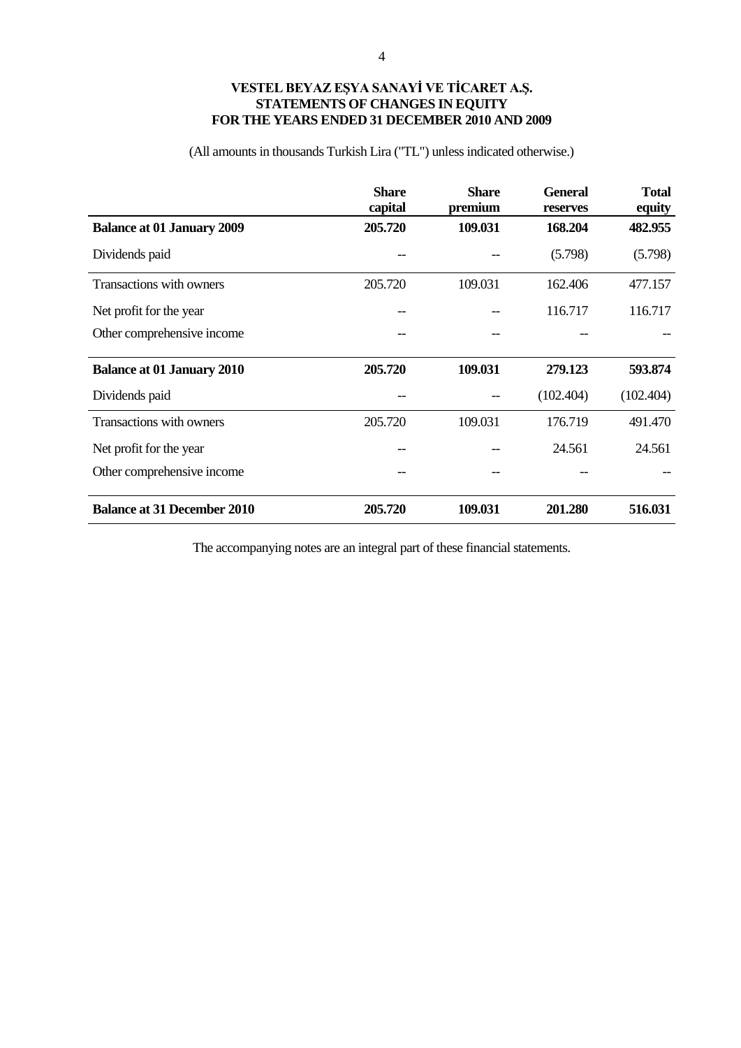### **VESTEL BEYAZ EŞYA SANAYİ VE TİCARET A.Ş. STATEMENTS OF CHANGES IN EQUITY FOR THE YEARS ENDED 31 DECEMBER 2010 AND 2009**

(All amounts in thousands Turkish Lira ("TL") unless indicated otherwise.)

|                                    | <b>Share</b><br>capital | <b>Share</b><br>premium | <b>General</b><br>reserves | <b>Total</b><br>equity |
|------------------------------------|-------------------------|-------------------------|----------------------------|------------------------|
| <b>Balance at 01 January 2009</b>  | 205.720                 | 109.031                 | 168.204                    | 482.955                |
| Dividends paid                     |                         |                         | (5.798)                    | (5.798)                |
| Transactions with owners           | 205.720                 | 109.031                 | 162.406                    | 477.157                |
| Net profit for the year            |                         |                         | 116.717                    | 116.717                |
| Other comprehensive income         |                         |                         |                            |                        |
| <b>Balance at 01 January 2010</b>  | 205.720                 | 109.031                 | 279.123                    | 593.874                |
| Dividends paid                     |                         |                         | (102.404)                  | (102.404)              |
| Transactions with owners           | 205.720                 | 109.031                 | 176.719                    | 491.470                |
| Net profit for the year            |                         |                         | 24.561                     | 24.561                 |
| Other comprehensive income         |                         |                         |                            |                        |
| <b>Balance at 31 December 2010</b> | 205.720                 | 109.031                 | 201.280                    | 516.031                |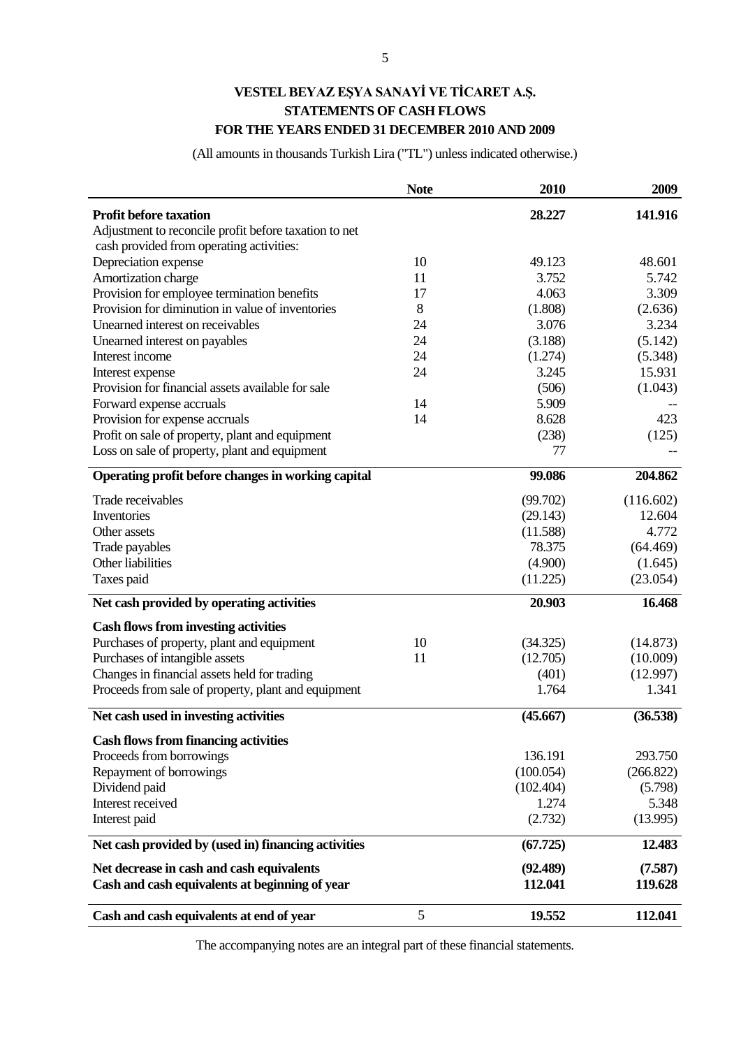# **VESTEL BEYAZ EŞYA SANAYİ VE TİCARET A.Ş. STATEMENTS OF CASH FLOWS FOR THE YEARS ENDED 31 DECEMBER 2010 AND 2009**

(All amounts in thousands Turkish Lira ("TL") unless indicated otherwise.)

|                                                       | <b>Note</b> | 2010      | 2009      |
|-------------------------------------------------------|-------------|-----------|-----------|
| <b>Profit before taxation</b>                         |             | 28.227    | 141.916   |
| Adjustment to reconcile profit before taxation to net |             |           |           |
| cash provided from operating activities:              |             |           |           |
| Depreciation expense                                  | 10          | 49.123    | 48.601    |
| Amortization charge                                   | 11          | 3.752     | 5.742     |
| Provision for employee termination benefits           | 17          | 4.063     | 3.309     |
| Provision for diminution in value of inventories      | 8           | (1.808)   | (2.636)   |
| Unearned interest on receivables                      | 24          | 3.076     | 3.234     |
| Unearned interest on payables                         | 24          | (3.188)   | (5.142)   |
| Interest income                                       | 24          | (1.274)   | (5.348)   |
| Interest expense                                      | 24          | 3.245     | 15.931    |
| Provision for financial assets available for sale     |             | (506)     | (1.043)   |
| Forward expense accruals                              | 14          | 5.909     |           |
| Provision for expense accruals                        | 14          | 8.628     | 423       |
| Profit on sale of property, plant and equipment       |             | (238)     | (125)     |
| Loss on sale of property, plant and equipment         |             | 77        |           |
| Operating profit before changes in working capital    |             | 99.086    | 204.862   |
| Trade receivables                                     |             | (99.702)  | (116.602) |
| Inventories                                           |             | (29.143)  | 12.604    |
| Other assets                                          |             | (11.588)  | 4.772     |
| Trade payables                                        |             | 78.375    | (64.469)  |
| Other liabilities                                     |             | (4.900)   | (1.645)   |
| Taxes paid                                            |             | (11.225)  | (23.054)  |
| Net cash provided by operating activities             |             | 20.903    | 16.468    |
| <b>Cash flows from investing activities</b>           |             |           |           |
| Purchases of property, plant and equipment            | 10          | (34.325)  | (14.873)  |
| Purchases of intangible assets                        | 11          | (12.705)  | (10.009)  |
| Changes in financial assets held for trading          |             | (401)     | (12.997)  |
| Proceeds from sale of property, plant and equipment   |             | 1.764     | 1.341     |
| Net cash used in investing activities                 |             | (45.667)  | (36.538)  |
| <b>Cash flows from financing activities</b>           |             |           |           |
| Proceeds from borrowings                              |             | 136.191   | 293.750   |
| Repayment of borrowings                               |             | (100.054) | (266.822) |
| Dividend paid                                         |             | (102.404) | (5.798)   |
| Interest received                                     |             | 1.274     | 5.348     |
| Interest paid                                         |             | (2.732)   | (13.995)  |
| Net cash provided by (used in) financing activities   |             | (67.725)  | 12.483    |
| Net decrease in cash and cash equivalents             |             | (92.489)  | (7.587)   |
| Cash and cash equivalents at beginning of year        |             | 112.041   | 119.628   |
| Cash and cash equivalents at end of year              | 5           | 19.552    | 112.041   |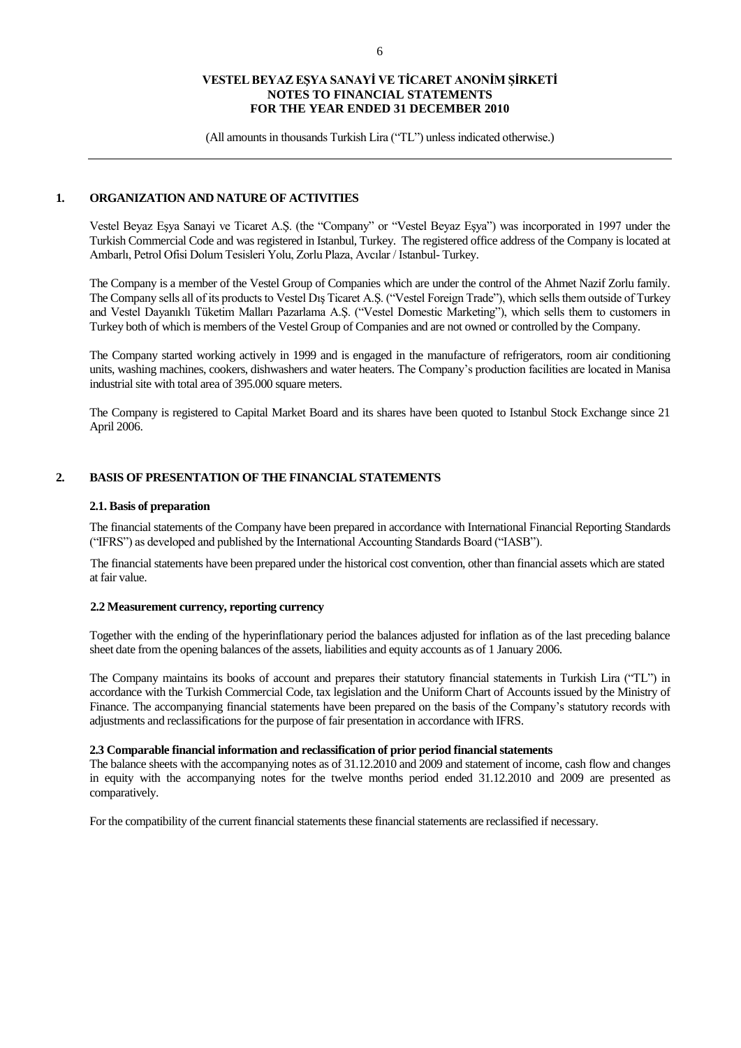(All amounts in thousands Turkish Lira ("TL") unless indicated otherwise.)

## **1. ORGANIZATION AND NATURE OF ACTIVITIES**

Vestel Beyaz Eşya Sanayi ve Ticaret A.Ş. (the "Company" or "Vestel Beyaz Eşya") was incorporated in 1997 under the Turkish Commercial Code and was registered in Istanbul, Turkey. The registered office address of the Company is located at Ambarlı, Petrol Ofisi Dolum Tesisleri Yolu, Zorlu Plaza, Avcılar / Istanbul- Turkey.

The Company is a member of the Vestel Group of Companies which are under the control of the Ahmet Nazif Zorlu family. The Company sells all of its products to Vestel Dış Ticaret A.Ş. ("Vestel Foreign Trade"), which sells them outside of Turkey and Vestel Dayanıklı Tüketim Malları Pazarlama A.Ş. ("Vestel Domestic Marketing"), which sells them to customers in Turkey both of which is members of the Vestel Group of Companies and are not owned or controlled by the Company.

The Company started working actively in 1999 and is engaged in the manufacture of refrigerators, room air conditioning units, washing machines, cookers, dishwashers and water heaters. The Company's production facilities are located in Manisa industrial site with total area of 395.000 square meters.

The Company is registered to Capital Market Board and its shares have been quoted to Istanbul Stock Exchange since 21 April 2006.

# **2. BASIS OF PRESENTATION OF THE FINANCIAL STATEMENTS**

### **2.1. Basis of preparation**

The financial statements of the Company have been prepared in accordance with International Financial Reporting Standards ("IFRS") as developed and published by the International Accounting Standards Board ("IASB").

The financial statements have been prepared under the historical cost convention, other than financial assets which are stated at fair value.

### **2.2 Measurement currency, reporting currency**

Together with the ending of the hyperinflationary period the balances adjusted for inflation as of the last preceding balance sheet date from the opening balances of the assets, liabilities and equity accounts as of 1 January 2006.

The Company maintains its books of account and prepares their statutory financial statements in Turkish Lira ("TL") in accordance with the Turkish Commercial Code, tax legislation and the Uniform Chart of Accounts issued by the Ministry of Finance. The accompanying financial statements have been prepared on the basis of the Company's statutory records with adjustments and reclassifications for the purpose of fair presentation in accordance with IFRS.

### **2.3 Comparable financial information and reclassification of prior period financial statements**

The balance sheets with the accompanying notes as of 31.12.2010 and 2009 and statement of income, cash flow and changes in equity with the accompanying notes for the twelve months period ended 31.12.2010 and 2009 are presented as comparatively.

For the compatibility of the current financial statements these financial statements are reclassified if necessary.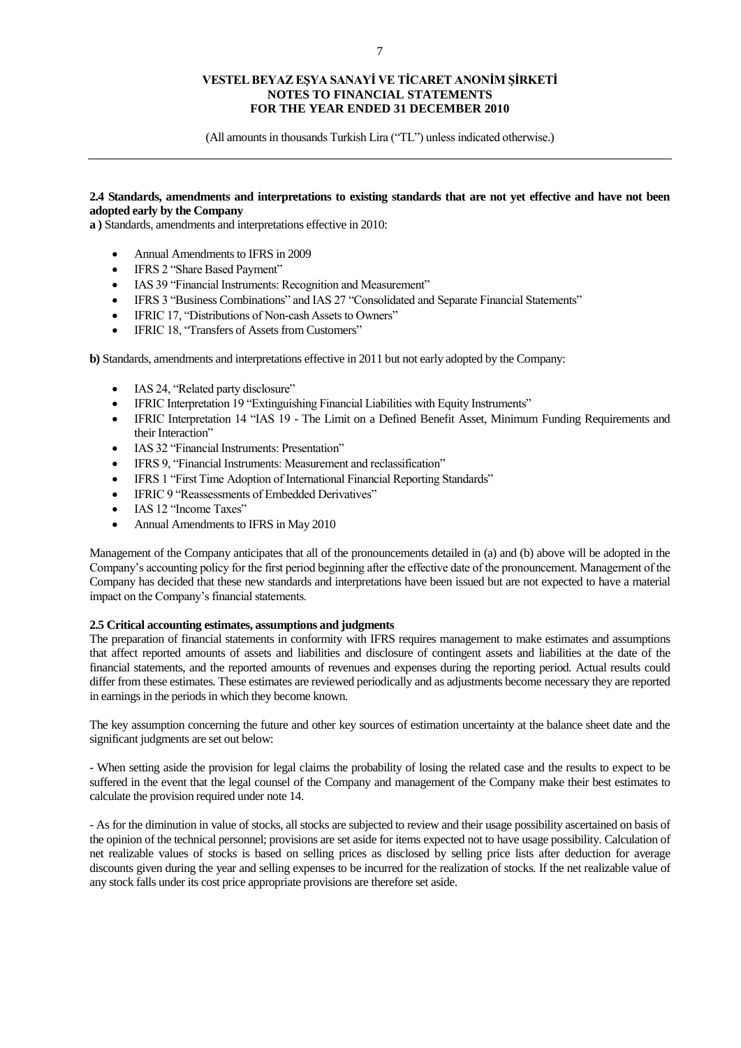(All amounts in thousands Turkish Lira ("TL") unless indicated otherwise.)

#### **2.4 Standards, amendments and interpretations to existing standards that are not yet effective and have not been adopted early by the Company**

**a )** Standards, amendments and interpretations effective in 2010:

- Annual Amendments to IFRS in 2009
- IFRS 2 "Share Based Payment"
- IAS 39 "Financial Instruments: Recognition and Measurement"
- IFRS 3 "Business Combinations" and IAS 27 "Consolidated and Separate Financial Statements"
- IFRIC 17, "Distributions of Non-cash Assets to Owners"
- IFRIC 18, "Transfers of Assets from Customers"

**b)** Standards, amendments and interpretations effective in 2011 but not early adopted by the Company:

- IAS 24, "Related party disclosure"
- IFRIC Interpretation 19 "Extinguishing Financial Liabilities with Equity Instruments"
- IFRIC Interpretation 14 "IAS 19 The Limit on a Defined Benefit Asset, Minimum Funding Requirements and their Interaction"
- IAS 32 "Financial Instruments: Presentation"
- IFRS 9, "Financial Instruments: Measurement and reclassification"
- IFRS 1 "First Time Adoption of International Financial Reporting Standards"
- IFRIC 9 "Reassessments of Embedded Derivatives"
- IAS 12 "Income Taxes"
- Annual Amendments to IFRS in May 2010

Management of the Company anticipates that all of the pronouncements detailed in (a) and (b) above will be adopted in the Company's accounting policy for the first period beginning after the effective date of the pronouncement. Management of the Company has decided that these new standards and interpretations have been issued but are not expected to have a material impact on the Company's financial statements.

#### **2.5 Critical accounting estimates, assumptions and judgments**

The preparation of financial statements in conformity with IFRS requires management to make estimates and assumptions that affect reported amounts of assets and liabilities and disclosure of contingent assets and liabilities at the date of the financial statements, and the reported amounts of revenues and expenses during the reporting period. Actual results could differ from these estimates. These estimates are reviewed periodically and as adjustments become necessary they are reported in earnings in the periods in which they become known.

The key assumption concerning the future and other key sources of estimation uncertainty at the balance sheet date and the significant judgments are set out below:

- When setting aside the provision for legal claims the probability of losing the related case and the results to expect to be suffered in the event that the legal counsel of the Company and management of the Company make their best estimates to calculate the provision required under note 14.

- As for the diminution in value of stocks, all stocks are subjected to review and their usage possibility ascertained on basis of the opinion of the technical personnel; provisions are set aside for items expected not to have usage possibility. Calculation of net realizable values of stocks is based on selling prices as disclosed by selling price lists after deduction for average discounts given during the year and selling expenses to be incurred for the realization of stocks. If the net realizable value of any stock falls under its cost price appropriate provisions are therefore set aside.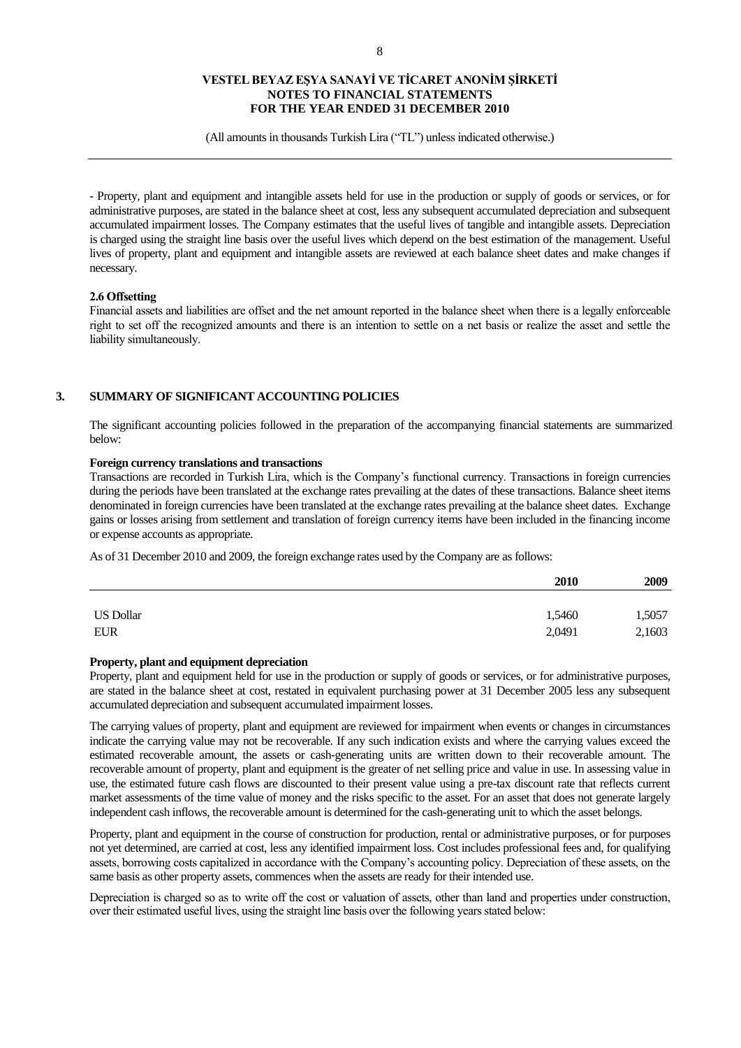(All amounts in thousands Turkish Lira ("TL") unless indicated otherwise.)

- Property, plant and equipment and intangible assets held for use in the production or supply of goods or services, or for administrative purposes, are stated in the balance sheet at cost, less any subsequent accumulated depreciation and subsequent accumulated impairment losses. The Company estimates that the useful lives of tangible and intangible assets. Depreciation is charged using the straight line basis over the useful lives which depend on the best estimation of the management. Useful lives of property, plant and equipment and intangible assets are reviewed at each balance sheet dates and make changes if necessary.

#### **2.6 Offsetting**

Financial assets and liabilities are offset and the net amount reported in the balance sheet when there is a legally enforceable right to set off the recognized amounts and there is an intention to settle on a net basis or realize the asset and settle the liability simultaneously.

#### **3. SUMMARY OF SIGNIFICANT ACCOUNTING POLICIES**

The significant accounting policies followed in the preparation of the accompanying financial statements are summarized below:

#### **Foreign currency translations and transactions**

Transactions are recorded in Turkish Lira, which is the Company's functional currency. Transactions in foreign currencies during the periods have been translated at the exchange rates prevailing at the dates of these transactions. Balance sheet items denominated in foreign currencies have been translated at the exchange rates prevailing at the balance sheet dates. Exchange gains or losses arising from settlement and translation of foreign currency items have been included in the financing income or expense accounts as appropriate.

As of 31 December 2010 and 2009, the foreign exchange rates used by the Company are as follows:

|                  | 2010   | 2009   |
|------------------|--------|--------|
|                  |        |        |
| <b>US Dollar</b> | 1,5460 | 1,5057 |
| <b>EUR</b>       | 2,0491 | 2,1603 |

#### **Property, plant and equipment depreciation**

Property, plant and equipment held for use in the production or supply of goods or services, or for administrative purposes, are stated in the balance sheet at cost, restated in equivalent purchasing power at 31 December 2005 less any subsequent accumulated depreciation and subsequent accumulated impairment losses.

The carrying values of property, plant and equipment are reviewed for impairment when events or changes in circumstances indicate the carrying value may not be recoverable. If any such indication exists and where the carrying values exceed the estimated recoverable amount, the assets or cash-generating units are written down to their recoverable amount. The recoverable amount of property, plant and equipment is the greater of net selling price and value in use. In assessing value in use, the estimated future cash flows are discounted to their present value using a pre-tax discount rate that reflects current market assessments of the time value of money and the risks specific to the asset. For an asset that does not generate largely independent cash inflows, the recoverable amount is determined for the cash-generating unit to which the asset belongs.

Property, plant and equipment in the course of construction for production, rental or administrative purposes, or for purposes not yet determined, are carried at cost, less any identified impairment loss. Cost includes professional fees and, for qualifying assets, borrowing costs capitalized in accordance with the Company's accounting policy. Depreciation of these assets, on the same basis as other property assets, commences when the assets are ready for their intended use.

Depreciation is charged so as to write off the cost or valuation of assets, other than land and properties under construction, over their estimated useful lives, using the straight line basis over the following years stated below: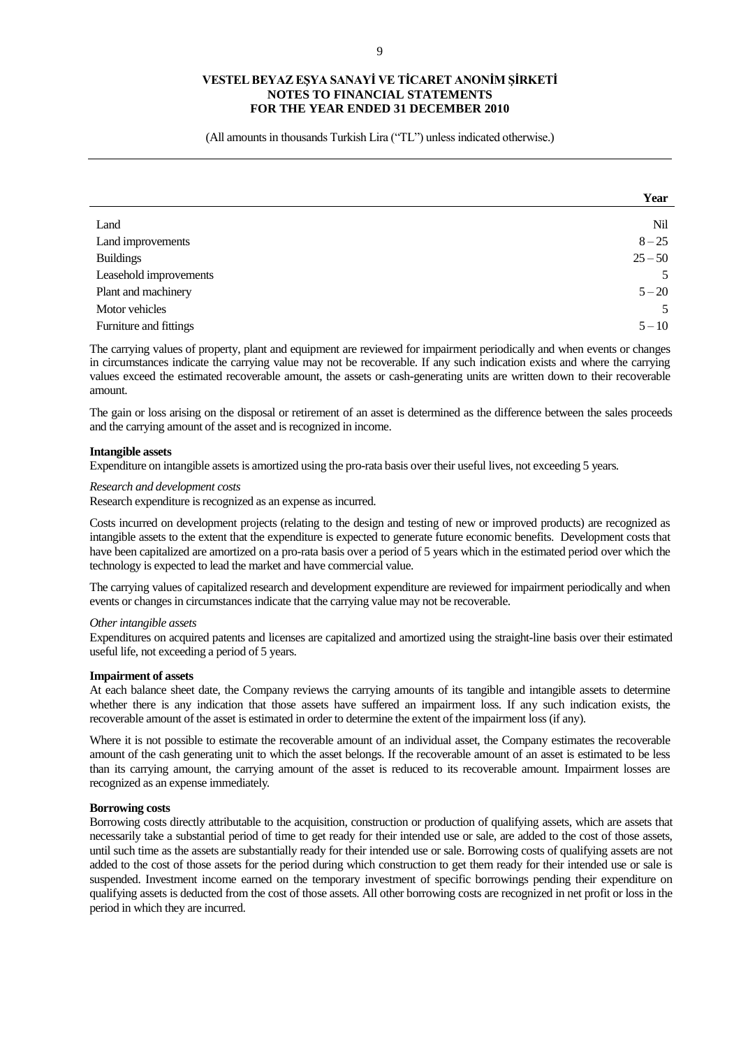(All amounts in thousands Turkish Lira ("TL") unless indicated otherwise.)

|                        | Year      |
|------------------------|-----------|
| Land                   | Nil       |
| Land improvements      | $8 - 25$  |
| <b>Buildings</b>       | $25 - 50$ |
| Leasehold improvements | 5         |
| Plant and machinery    | $5 - 20$  |
| Motor vehicles         | 5         |
| Furniture and fittings | $5 - 10$  |
|                        |           |

The carrying values of property, plant and equipment are reviewed for impairment periodically and when events or changes in circumstances indicate the carrying value may not be recoverable. If any such indication exists and where the carrying values exceed the estimated recoverable amount, the assets or cash-generating units are written down to their recoverable amount.

The gain or loss arising on the disposal or retirement of an asset is determined as the difference between the sales proceeds and the carrying amount of the asset and is recognized in income.

#### **Intangible assets**

Expenditure on intangible assets is amortized using the pro-rata basis over their useful lives, not exceeding 5 years.

#### *Research and development costs*

Research expenditure is recognized as an expense as incurred.

Costs incurred on development projects (relating to the design and testing of new or improved products) are recognized as intangible assets to the extent that the expenditure is expected to generate future economic benefits. Development costs that have been capitalized are amortized on a pro-rata basis over a period of 5 years which in the estimated period over which the technology is expected to lead the market and have commercial value.

The carrying values of capitalized research and development expenditure are reviewed for impairment periodically and when events or changes in circumstances indicate that the carrying value may not be recoverable.

#### *Other intangible assets*

Expenditures on acquired patents and licenses are capitalized and amortized using the straight-line basis over their estimated useful life, not exceeding a period of 5 years.

#### **Impairment of assets**

At each balance sheet date, the Company reviews the carrying amounts of its tangible and intangible assets to determine whether there is any indication that those assets have suffered an impairment loss. If any such indication exists, the recoverable amount of the asset is estimated in order to determine the extent of the impairment loss (if any).

Where it is not possible to estimate the recoverable amount of an individual asset, the Company estimates the recoverable amount of the cash generating unit to which the asset belongs. If the recoverable amount of an asset is estimated to be less than its carrying amount, the carrying amount of the asset is reduced to its recoverable amount. Impairment losses are recognized as an expense immediately.

#### **Borrowing costs**

Borrowing costs directly attributable to the acquisition, construction or production of qualifying assets, which are assets that necessarily take a substantial period of time to get ready for their intended use or sale, are added to the cost of those assets, until such time as the assets are substantially ready for their intended use or sale. Borrowing costs of qualifying assets are not added to the cost of those assets for the period during which construction to get them ready for their intended use or sale is suspended. Investment income earned on the temporary investment of specific borrowings pending their expenditure on qualifying assets is deducted from the cost of those assets. All other borrowing costs are recognized in net profit or loss in the period in which they are incurred.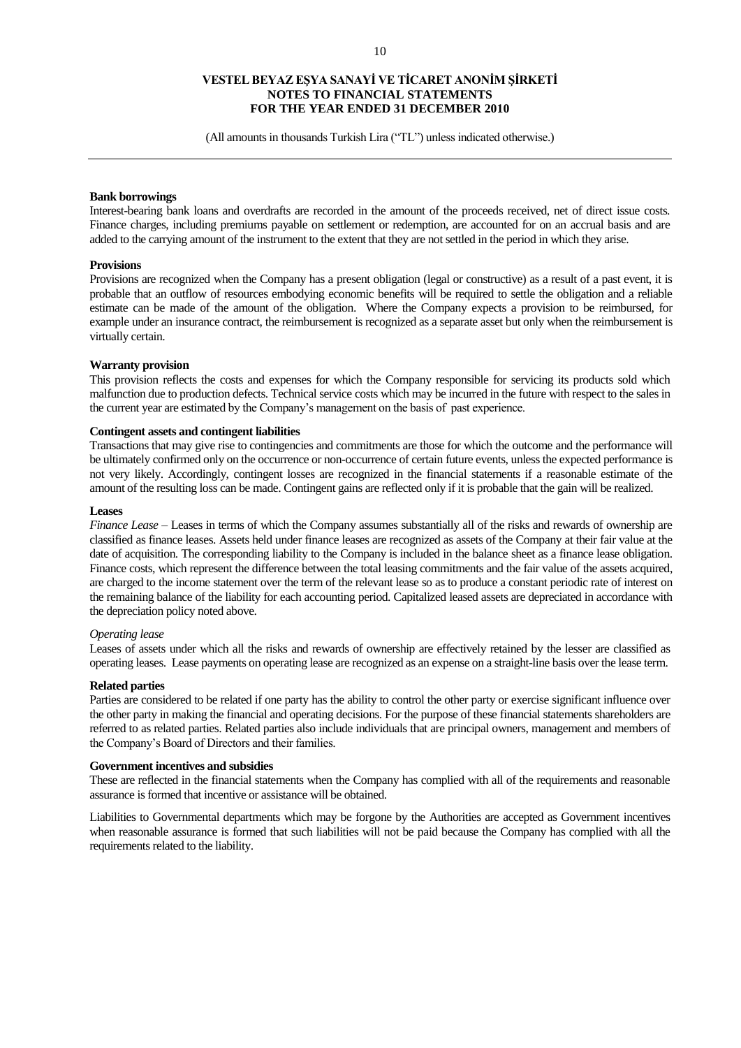(All amounts in thousands Turkish Lira ("TL") unless indicated otherwise.)

#### **Bank borrowings**

Interest-bearing bank loans and overdrafts are recorded in the amount of the proceeds received, net of direct issue costs. Finance charges, including premiums payable on settlement or redemption, are accounted for on an accrual basis and are added to the carrying amount of the instrument to the extent that they are not settled in the period in which they arise.

#### **Provisions**

Provisions are recognized when the Company has a present obligation (legal or constructive) as a result of a past event, it is probable that an outflow of resources embodying economic benefits will be required to settle the obligation and a reliable estimate can be made of the amount of the obligation. Where the Company expects a provision to be reimbursed, for example under an insurance contract, the reimbursement is recognized as a separate asset but only when the reimbursement is virtually certain.

#### **Warranty provision**

This provision reflects the costs and expenses for which the Company responsible for servicing its products sold which malfunction due to production defects. Technical service costs which may be incurred in the future with respect to the sales in the current year are estimated by the Company's management on the basis of past experience.

#### **Contingent assets and contingent liabilities**

Transactions that may give rise to contingencies and commitments are those for which the outcome and the performance will be ultimately confirmed only on the occurrence or non-occurrence of certain future events, unless the expected performance is not very likely. Accordingly, contingent losses are recognized in the financial statements if a reasonable estimate of the amount of the resulting loss can be made. Contingent gains are reflected only if it is probable that the gain will be realized.

#### **Leases**

*Finance Lease –* Leases in terms of which the Company assumes substantially all of the risks and rewards of ownership are classified as finance leases. Assets held under finance leases are recognized as assets of the Company at their fair value at the date of acquisition. The corresponding liability to the Company is included in the balance sheet as a finance lease obligation. Finance costs, which represent the difference between the total leasing commitments and the fair value of the assets acquired, are charged to the income statement over the term of the relevant lease so as to produce a constant periodic rate of interest on the remaining balance of the liability for each accounting period. Capitalized leased assets are depreciated in accordance with the depreciation policy noted above.

#### *Operating lease*

Leases of assets under which all the risks and rewards of ownership are effectively retained by the lesser are classified as operating leases. Lease payments on operating lease are recognized as an expense on a straight-line basis over the lease term.

#### **Related parties**

Parties are considered to be related if one party has the ability to control the other party or exercise significant influence over the other party in making the financial and operating decisions. For the purpose of these financial statements shareholders are referred to as related parties. Related parties also include individuals that are principal owners, management and members of the Company's Board of Directors and their families.

#### **Government incentives and subsidies**

These are reflected in the financial statements when the Company has complied with all of the requirements and reasonable assurance is formed that incentive or assistance will be obtained.

Liabilities to Governmental departments which may be forgone by the Authorities are accepted as Government incentives when reasonable assurance is formed that such liabilities will not be paid because the Company has complied with all the requirements related to the liability.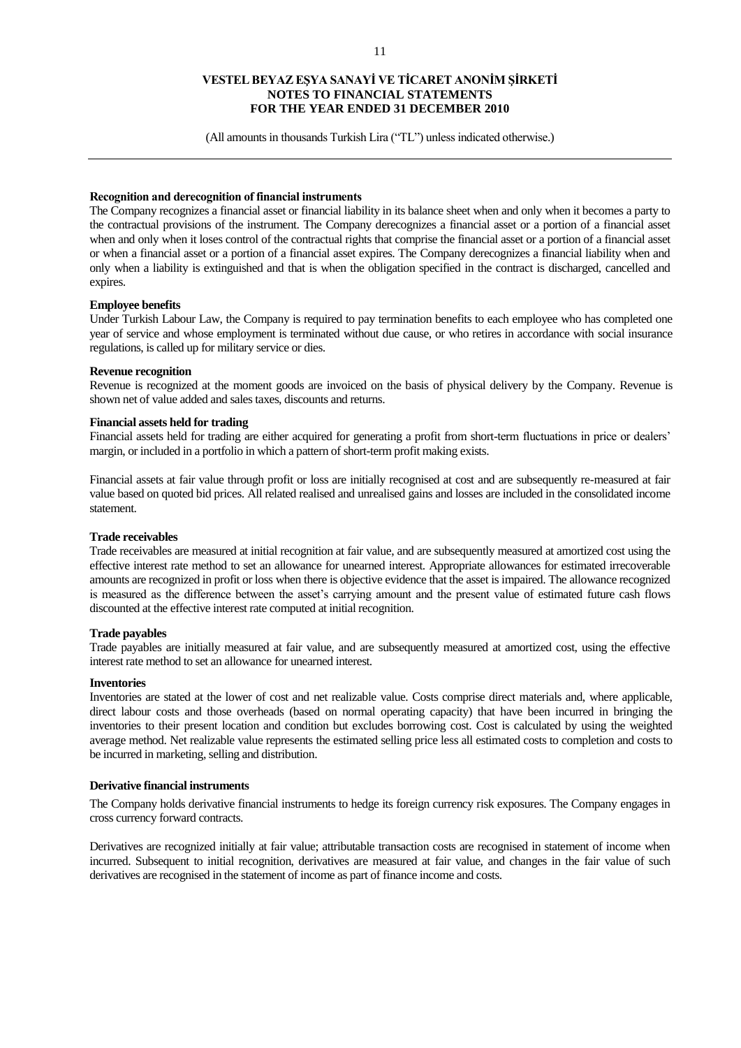(All amounts in thousands Turkish Lira ("TL") unless indicated otherwise.)

#### **Recognition and derecognition of financial instruments**

The Company recognizes a financial asset or financial liability in its balance sheet when and only when it becomes a party to the contractual provisions of the instrument. The Company derecognizes a financial asset or a portion of a financial asset when and only when it loses control of the contractual rights that comprise the financial asset or a portion of a financial asset or when a financial asset or a portion of a financial asset expires. The Company derecognizes a financial liability when and only when a liability is extinguished and that is when the obligation specified in the contract is discharged, cancelled and expires.

#### **Employee benefits**

Under Turkish Labour Law, the Company is required to pay termination benefits to each employee who has completed one year of service and whose employment is terminated without due cause, or who retires in accordance with social insurance regulations, is called up for military service or dies.

#### **Revenue recognition**

Revenue is recognized at the moment goods are invoiced on the basis of physical delivery by the Company. Revenue is shown net of value added and sales taxes, discounts and returns.

#### **Financial assets held for trading**

Financial assets held for trading are either acquired for generating a profit from short-term fluctuations in price or dealers' margin, or included in a portfolio in which a pattern of short-term profit making exists.

Financial assets at fair value through profit or loss are initially recognised at cost and are subsequently re-measured at fair value based on quoted bid prices. All related realised and unrealised gains and losses are included in the consolidated income statement.

#### **Trade receivables**

Trade receivables are measured at initial recognition at fair value, and are subsequently measured at amortized cost using the effective interest rate method to set an allowance for unearned interest. Appropriate allowances for estimated irrecoverable amounts are recognized in profit or loss when there is objective evidence that the asset is impaired. The allowance recognized is measured as the difference between the asset's carrying amount and the present value of estimated future cash flows discounted at the effective interest rate computed at initial recognition.

#### **Trade payables**

Trade payables are initially measured at fair value, and are subsequently measured at amortized cost, using the effective interest rate method to set an allowance for unearned interest.

#### **Inventories**

Inventories are stated at the lower of cost and net realizable value. Costs comprise direct materials and, where applicable, direct labour costs and those overheads (based on normal operating capacity) that have been incurred in bringing the inventories to their present location and condition but excludes borrowing cost. Cost is calculated by using the weighted average method. Net realizable value represents the estimated selling price less all estimated costs to completion and costs to be incurred in marketing, selling and distribution.

#### **Derivative financial instruments**

The Company holds derivative financial instruments to hedge its foreign currency risk exposures. The Company engages in cross currency forward contracts.

Derivatives are recognized initially at fair value; attributable transaction costs are recognised in statement of income when incurred. Subsequent to initial recognition, derivatives are measured at fair value, and changes in the fair value of such derivatives are recognised in the statement of income as part of finance income and costs.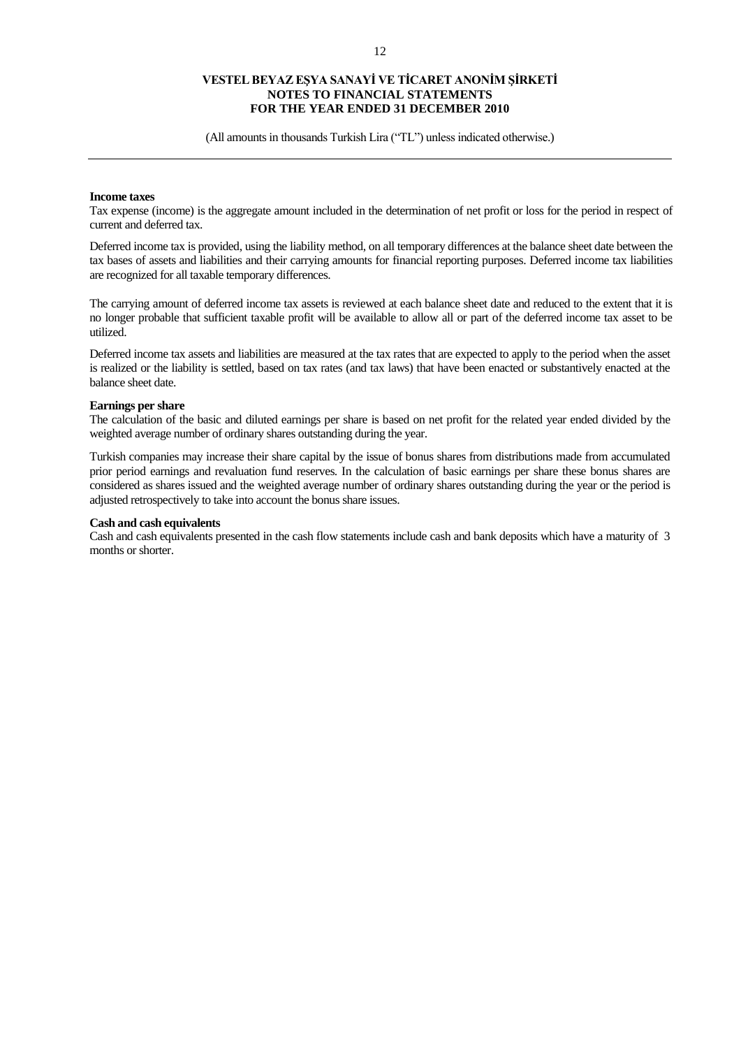(All amounts in thousands Turkish Lira ("TL") unless indicated otherwise.)

#### **Income taxes**

Tax expense (income) is the aggregate amount included in the determination of net profit or loss for the period in respect of current and deferred tax.

Deferred income tax is provided, using the liability method, on all temporary differences at the balance sheet date between the tax bases of assets and liabilities and their carrying amounts for financial reporting purposes. Deferred income tax liabilities are recognized for all taxable temporary differences.

The carrying amount of deferred income tax assets is reviewed at each balance sheet date and reduced to the extent that it is no longer probable that sufficient taxable profit will be available to allow all or part of the deferred income tax asset to be utilized.

Deferred income tax assets and liabilities are measured at the tax rates that are expected to apply to the period when the asset is realized or the liability is settled, based on tax rates (and tax laws) that have been enacted or substantively enacted at the balance sheet date.

#### **Earnings per share**

The calculation of the basic and diluted earnings per share is based on net profit for the related year ended divided by the weighted average number of ordinary shares outstanding during the year.

Turkish companies may increase their share capital by the issue of bonus shares from distributions made from accumulated prior period earnings and revaluation fund reserves. In the calculation of basic earnings per share these bonus shares are considered as shares issued and the weighted average number of ordinary shares outstanding during the year or the period is adjusted retrospectively to take into account the bonus share issues.

#### **Cash and cash equivalents**

Cash and cash equivalents presented in the cash flow statements include cash and bank deposits which have a maturity of 3 months or shorter.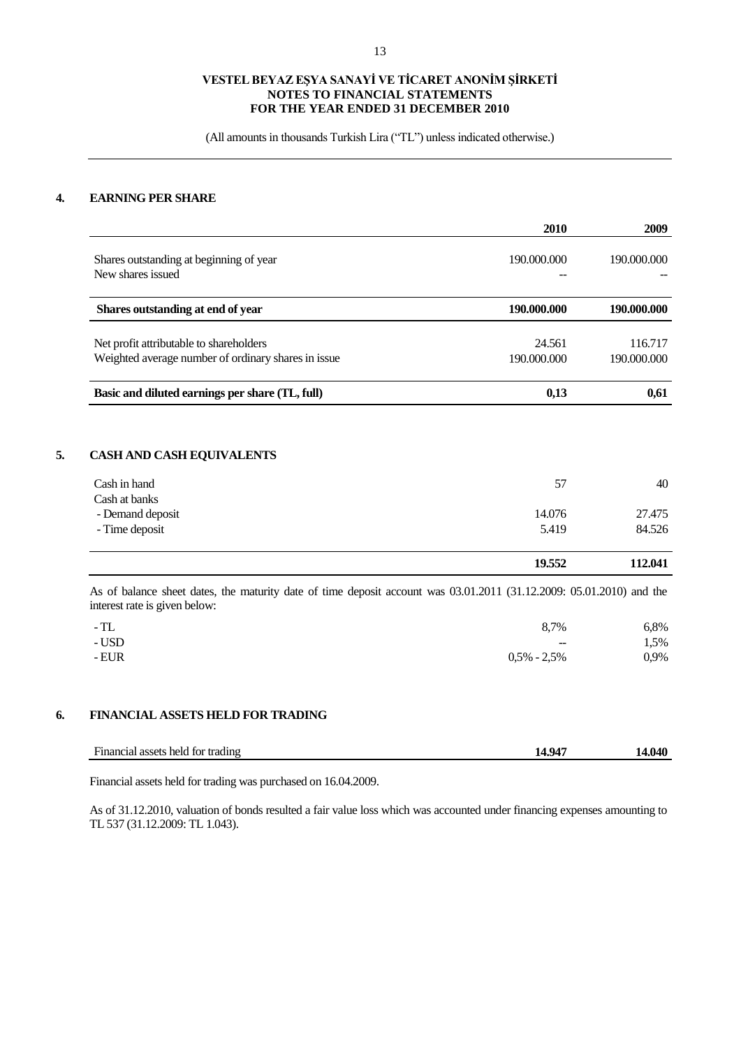(All amounts in thousands Turkish Lira ("TL") unless indicated otherwise.)

# **4. EARNING PER SHARE**

|                                                                                                                                                       | 2010        | 2009                        |
|-------------------------------------------------------------------------------------------------------------------------------------------------------|-------------|-----------------------------|
| Shares outstanding at beginning of year<br>New shares issued                                                                                          | 190.000.000 | 190.000.000                 |
| Shares outstanding at end of year                                                                                                                     | 190.000.000 | 190.000.000                 |
| Net profit attributable to shareholders                                                                                                               | 24.561      | 116.717                     |
| Weighted average number of ordinary shares in issue                                                                                                   | 190.000.000 | 190.000.000                 |
| Basic and diluted earnings per share (TL, full)                                                                                                       | 0,13        | 0,61                        |
| <b>CASH AND CASH EQUIVALENTS</b><br>Cash in hand                                                                                                      | 57          |                             |
|                                                                                                                                                       |             | 40                          |
|                                                                                                                                                       |             |                             |
|                                                                                                                                                       |             |                             |
|                                                                                                                                                       | 14.076      |                             |
| - Demand deposit<br>- Time deposit                                                                                                                    | 5.419       |                             |
| Cash at banks                                                                                                                                         | 19.552      |                             |
| As of balance sheet dates, the maturity date of time deposit account was 03.01.2011 (31.12.2009: 05.01.2010) and the<br>interest rate is given below: |             | 27.475<br>84.526<br>112.041 |
| $-TL$                                                                                                                                                 |             |                             |
| $\mbox{-}$ USD                                                                                                                                        | 8,7%        | 6,8%<br>1,5%                |

### **6. FINANCIAL ASSETS HELD FOR TRADING**

| $\sim$<br>neia<br>n<br>. .<br>влаг<br>⊾שרי<br>. | MС<br>πυ<br>--<br>. |
|-------------------------------------------------|---------------------|
|                                                 |                     |

Financial assets held for trading was purchased on 16.04.2009.

As of 31.12.2010, valuation of bonds resulted a fair value loss which was accounted under financing expenses amounting to TL 537 (31.12.2009: TL 1.043).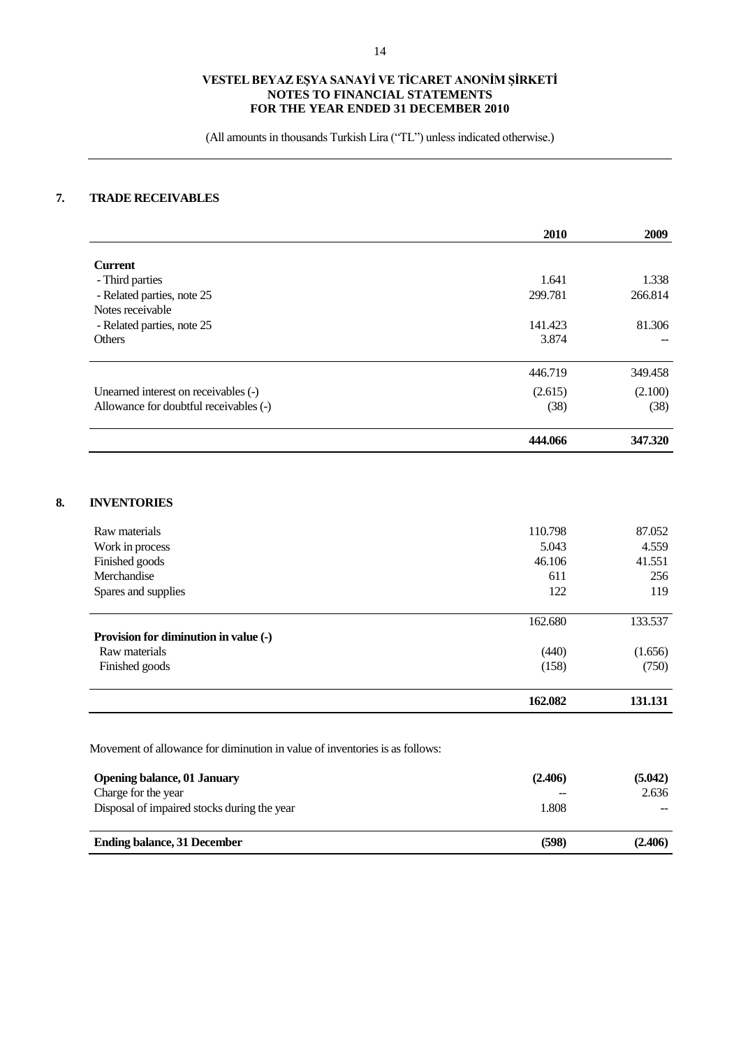(All amounts in thousands Turkish Lira ("TL") unless indicated otherwise.)

# **7. TRADE RECEIVABLES**

|                                                                                                                | 2010                       | 2009                      |
|----------------------------------------------------------------------------------------------------------------|----------------------------|---------------------------|
| <b>Current</b>                                                                                                 |                            |                           |
| - Third parties                                                                                                | 1.641                      | 1.338                     |
| - Related parties, note 25                                                                                     | 299.781                    | 266.814                   |
| Notes receivable                                                                                               |                            |                           |
| - Related parties, note 25                                                                                     | 141.423                    | 81.306                    |
| Others                                                                                                         | 3.874                      |                           |
|                                                                                                                | 446.719                    | 349.458                   |
| Unearned interest on receivables (-)                                                                           | (2.615)                    | (2.100)                   |
| Allowance for doubtful receivables (-)                                                                         | (38)                       | (38)                      |
|                                                                                                                | 444.066                    | 347.320                   |
|                                                                                                                |                            |                           |
|                                                                                                                | 110.798<br>5.043<br>46.106 | 87.052<br>4.559<br>41.551 |
|                                                                                                                | 611<br>122                 | 256<br>119                |
| <b>INVENTORIES</b><br>Raw materials<br>Work in process<br>Finished goods<br>Merchandise<br>Spares and supplies | 162.680                    | 133.537                   |
|                                                                                                                |                            |                           |
| Provision for diminution in value (-)<br>Raw materials                                                         | (440)                      | (1.656)                   |
| Finished goods                                                                                                 | (158)                      | (750)                     |

| <b>Opening balance, 01 January</b>          | (2.406) | (5.042) |
|---------------------------------------------|---------|---------|
| Charge for the year                         | $\sim$  | 2.636   |
| Disposal of impaired stocks during the year | 1.808   | $- -$   |
| <b>Ending balance, 31 December</b>          | (598)   | (2.406) |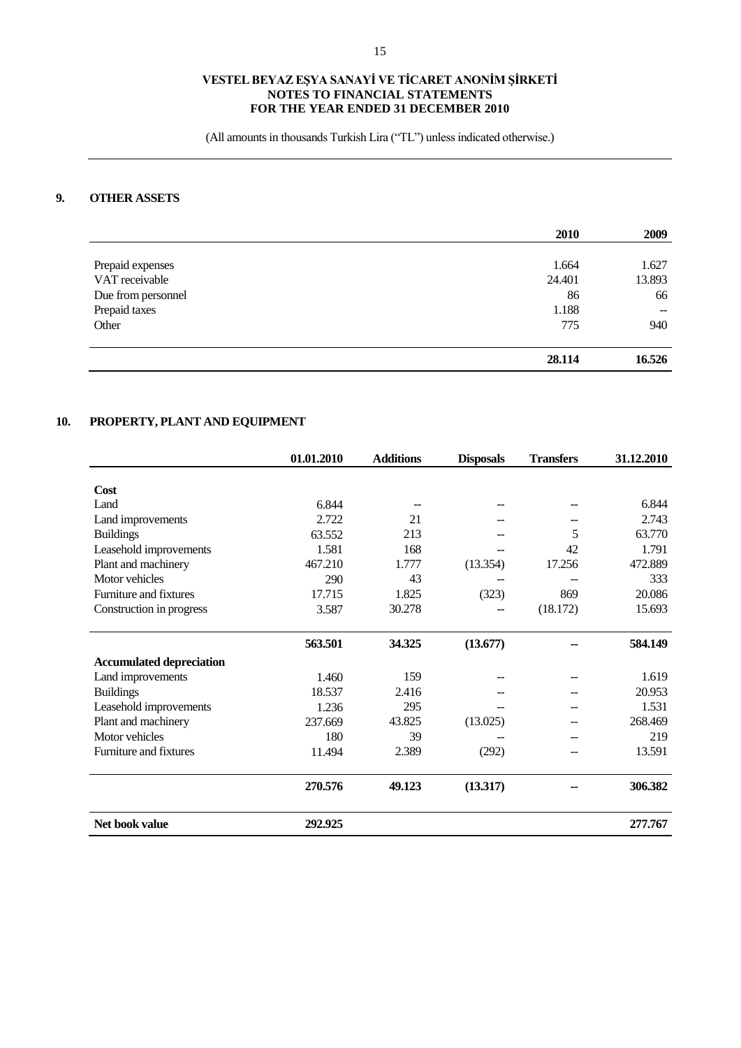(All amounts in thousands Turkish Lira ("TL") unless indicated otherwise.)

# **9. OTHER ASSETS**

|                    | 2010   | 2009              |
|--------------------|--------|-------------------|
|                    |        |                   |
| Prepaid expenses   | 1.664  | 1.627             |
| VAT receivable     | 24.401 | 13.893            |
| Due from personnel | 86     | 66                |
| Prepaid taxes      | 1.188  | $\hspace{0.05cm}$ |
| Other              | 775    | 940               |
|                    | 28.114 | 16.526            |

# **10. PROPERTY, PLANT AND EQUIPMENT**

|                                 | 01.01.2010 | <b>Additions</b> | <b>Disposals</b> | <b>Transfers</b> | 31.12.2010 |
|---------------------------------|------------|------------------|------------------|------------------|------------|
|                                 |            |                  |                  |                  |            |
| Cost                            |            |                  |                  |                  |            |
| Land                            | 6.844      |                  |                  |                  | 6.844      |
| Land improvements               | 2.722      | 21               |                  |                  | 2.743      |
| <b>Buildings</b>                | 63.552     | 213              |                  | 5                | 63.770     |
| Leasehold improvements          | 1.581      | 168              |                  | 42               | 1.791      |
| Plant and machinery             | 467.210    | 1.777            | (13.354)         | 17.256           | 472.889    |
| Motor vehicles                  | 290        | 43               |                  |                  | 333        |
| Furniture and fixtures          | 17.715     | 1.825            | (323)            | 869              | 20.086     |
| Construction in progress        | 3.587      | 30.278           |                  | (18.172)         | 15.693     |
|                                 | 563.501    | 34.325           | (13.677)         |                  | 584.149    |
| <b>Accumulated depreciation</b> |            |                  |                  |                  |            |
| Land improvements               | 1.460      | 159              |                  |                  | 1.619      |
| <b>Buildings</b>                | 18.537     | 2.416            |                  |                  | 20.953     |
| Leasehold improvements          | 1.236      | 295              |                  |                  | 1.531      |
| Plant and machinery             | 237.669    | 43.825           | (13.025)         |                  | 268.469    |
| Motor vehicles                  | 180        | 39               |                  |                  | 219        |
| Furniture and fixtures          | 11.494     | 2.389            | (292)            |                  | 13.591     |
|                                 | 270.576    | 49.123           | (13.317)         |                  | 306.382    |
| Net book value                  | 292.925    |                  |                  |                  | 277.767    |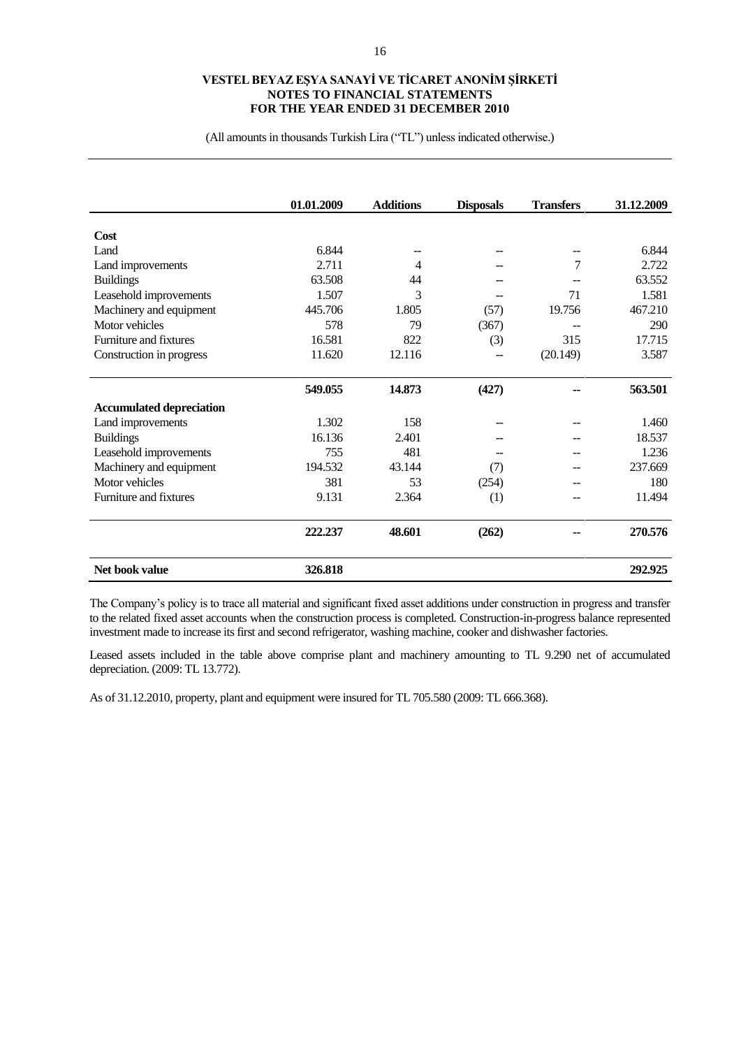(All amounts in thousands Turkish Lira ("TL") unless indicated otherwise.)

|                                 | 01.01.2009 | <b>Additions</b> | <b>Disposals</b> | <b>Transfers</b> | 31.12.2009 |
|---------------------------------|------------|------------------|------------------|------------------|------------|
|                                 |            |                  |                  |                  |            |
| Cost                            |            |                  |                  |                  |            |
| Land                            | 6.844      |                  |                  |                  | 6.844      |
| Land improvements               | 2.711      | 4                |                  | 7                | 2.722      |
| <b>Buildings</b>                | 63.508     | 44               |                  |                  | 63.552     |
| Leasehold improvements          | 1.507      | 3                |                  | 71               | 1.581      |
| Machinery and equipment         | 445.706    | 1.805            | (57)             | 19.756           | 467.210    |
| Motor vehicles                  | 578        | 79               | (367)            |                  | 290        |
| Furniture and fixtures          | 16.581     | 822              | (3)              | 315              | 17.715     |
| Construction in progress        | 11.620     | 12.116           | --               | (20.149)         | 3.587      |
|                                 | 549.055    | 14.873           | (427)            |                  | 563.501    |
| <b>Accumulated depreciation</b> |            |                  |                  |                  |            |
| Land improvements               | 1.302      | 158              |                  |                  | 1.460      |
| <b>Buildings</b>                | 16.136     | 2.401            |                  |                  | 18.537     |
| Leasehold improvements          | 755        | 481              |                  |                  | 1.236      |
| Machinery and equipment         | 194.532    | 43.144           | (7)              |                  | 237.669    |
| Motor vehicles                  | 381        | 53               | (254)            |                  | 180        |
| Furniture and fixtures          | 9.131      | 2.364            | (1)              |                  | 11.494     |
|                                 | 222,237    | 48.601           | (262)            |                  | 270.576    |
| Net book value                  | 326.818    |                  |                  |                  | 292.925    |

The Company's policy is to trace all material and significant fixed asset additions under construction in progress and transfer to the related fixed asset accounts when the construction process is completed. Construction-in-progress balance represented investment made to increase its first and second refrigerator, washing machine, cooker and dishwasher factories.

Leased assets included in the table above comprise plant and machinery amounting to TL 9.290 net of accumulated depreciation. (2009: TL 13.772).

As of 31.12.2010, property, plant and equipment were insured for TL 705.580 (2009: TL 666.368).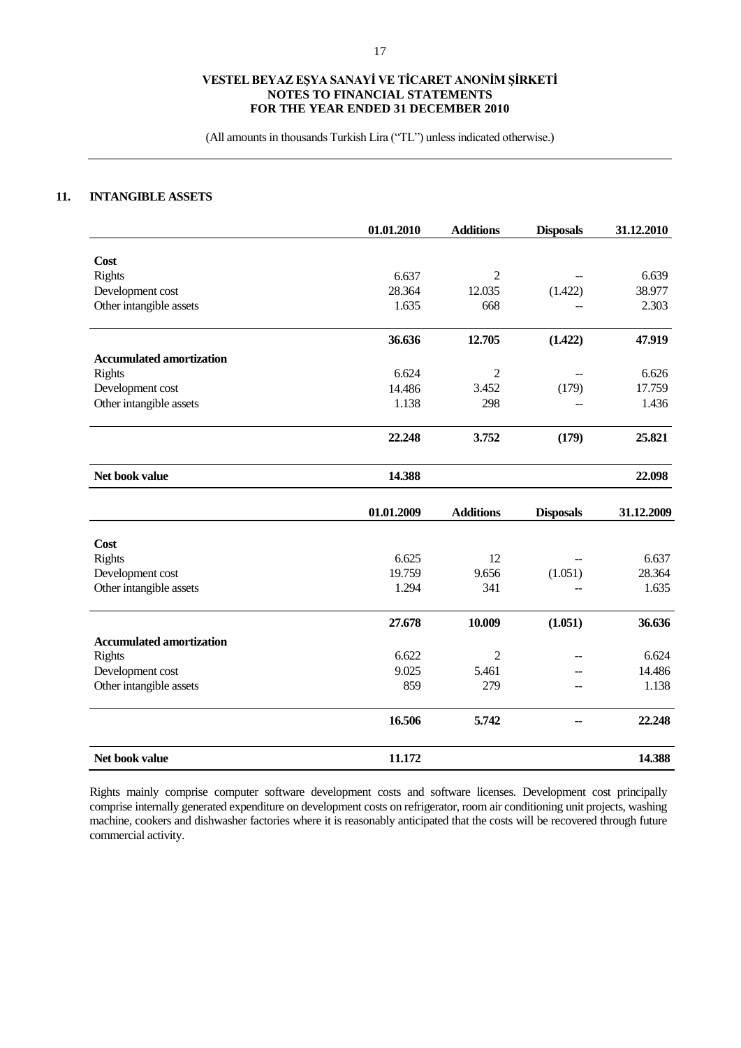(All amounts in thousands Turkish Lira ("TL") unless indicated otherwise.)

#### **11. INTANGIBLE ASSETS**

|                                 | 01.01.2010 | <b>Additions</b> | <b>Disposals</b> | 31.12.2010      |
|---------------------------------|------------|------------------|------------------|-----------------|
|                                 |            |                  |                  |                 |
| Cost                            |            |                  |                  |                 |
| <b>Rights</b>                   | 6.637      | 2<br>12.035      |                  | 6.639<br>38.977 |
| Development cost                | 28.364     |                  | (1.422)          |                 |
| Other intangible assets         | 1.635      | 668              |                  | 2.303           |
|                                 | 36.636     | 12.705           | (1.422)          | 47.919          |
| <b>Accumulated amortization</b> |            |                  |                  |                 |
| <b>Rights</b>                   | 6.624      | $\mathfrak{2}$   | $-$              | 6.626           |
| Development cost                | 14.486     | 3.452            | (179)            | 17.759          |
| Other intangible assets         | 1.138      | 298              |                  | 1.436           |
|                                 | 22.248     | 3.752            | (179)            | 25.821          |
| Net book value                  | 14.388     |                  |                  | 22.098          |
|                                 | 01.01.2009 | <b>Additions</b> | <b>Disposals</b> | 31.12.2009      |
|                                 |            |                  |                  |                 |
| <b>Cost</b>                     |            |                  |                  |                 |
| <b>Rights</b>                   | 6.625      | 12               |                  | 6.637           |
| Development cost                | 19.759     | 9.656            | (1.051)          | 28.364          |
| Other intangible assets         | 1.294      | 341              |                  | 1.635           |
|                                 | 27.678     | 10.009           | (1.051)          | 36.636          |
| <b>Accumulated amortization</b> |            |                  |                  |                 |
| <b>Rights</b>                   | 6.622      | 2                | --               | 6.624           |
| Development cost                | 9.025      | 5.461            | $-$              | 14.486          |
| Other intangible assets         | 859        | 279              | $-$              | 1.138           |
|                                 | 16.506     | 5.742            | --               | 22.248          |
| Net book value                  | 11.172     |                  |                  | 14.388          |

Rights mainly comprise computer software development costs and software licenses. Development cost principally comprise internally generated expenditure on development costs on refrigerator, room air conditioning unit projects, washing machine, cookers and dishwasher factories where it is reasonably anticipated that the costs will be recovered through future commercial activity.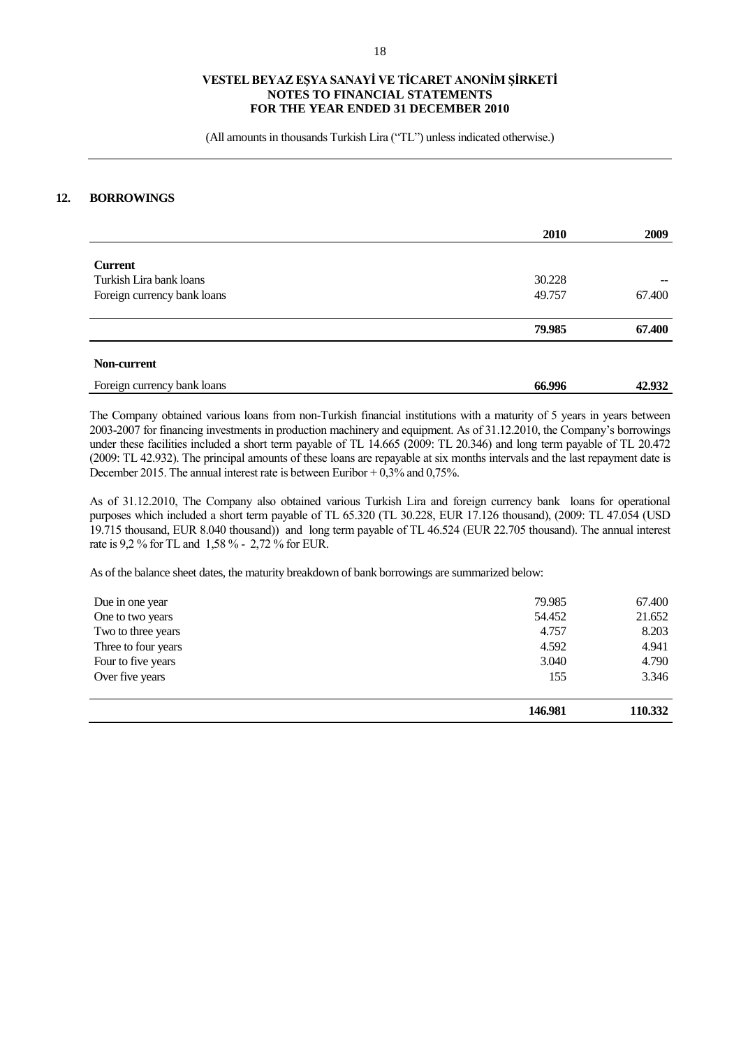(All amounts in thousands Turkish Lira ("TL") unless indicated otherwise.)

### **12. BORROWINGS**

|                             | <b>2010</b> | 2009   |
|-----------------------------|-------------|--------|
|                             |             |        |
| <b>Current</b>              |             |        |
| Turkish Lira bank loans     | 30.228      |        |
| Foreign currency bank loans | 49.757      | 67.400 |
|                             |             |        |
|                             | 79.985      | 67.400 |
|                             |             |        |
| Non-current                 |             |        |
| Foreign currency bank loans | 66.996      | 42.932 |

The Company obtained various loans from non-Turkish financial institutions with a maturity of 5 years in years between 2003-2007 for financing investments in production machinery and equipment. As of 31.12.2010, the Company's borrowings under these facilities included a short term payable of TL 14.665 (2009: TL 20.346) and long term payable of TL 20.472 (2009: TL 42.932). The principal amounts of these loans are repayable at six months intervals and the last repayment date is December 2015. The annual interest rate is between Euribor  $+0.3\%$  and 0.75%.

As of 31.12.2010, The Company also obtained various Turkish Lira and foreign currency bank loans for operational purposes which included a short term payable of TL 65.320 (TL 30.228, EUR 17.126 thousand), (2009: TL 47.054 (USD 19.715 thousand, EUR 8.040 thousand)) and long term payable of TL 46.524 (EUR 22.705 thousand). The annual interest rate is 9,2 % for TL and 1,58 % - 2,72 % for EUR.

As of the balance sheet dates, the maturity breakdown of bank borrowings are summarized below:

|                     | 146.981 | 110.332 |
|---------------------|---------|---------|
| Over five years     | 155     | 3.346   |
| Four to five years  | 3.040   | 4.790   |
| Three to four years | 4.592   | 4.941   |
| Two to three years  | 4.757   | 8.203   |
| One to two years    | 54.452  | 21.652  |
| Due in one year     | 79.985  | 67.400  |
|                     |         |         |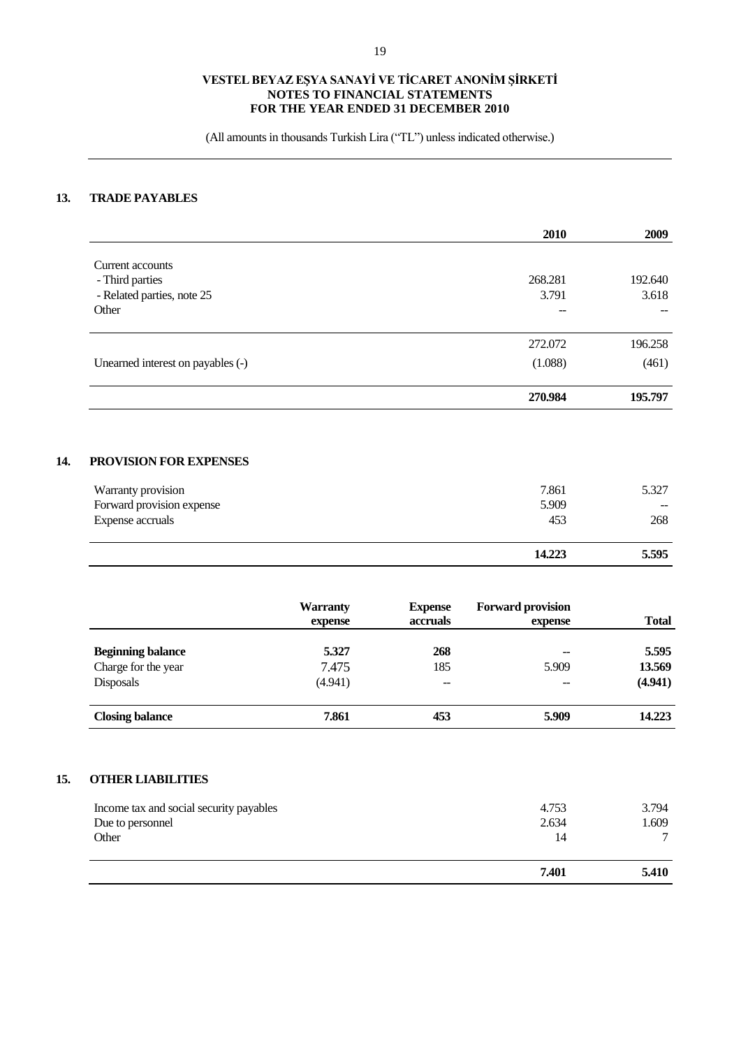(All amounts in thousands Turkish Lira ("TL") unless indicated otherwise.)

# **13. TRADE PAYABLES**

|                                   | 2010    | 2009    |
|-----------------------------------|---------|---------|
| Current accounts                  |         |         |
| - Third parties                   | 268.281 | 192.640 |
| - Related parties, note 25        | 3.791   | 3.618   |
| Other                             | --      |         |
|                                   | 272.072 | 196.258 |
| Unearned interest on payables (-) | (1.088) | (461)   |
|                                   | 270.984 | 195.797 |

# Warranty provision 5.327<br>Forward provision expense 5.909 5.327 Forward provision expense 5.909 --Expense accruals 268 **14.223 5.595**

|                          | <b>Warranty</b><br>expense | <b>Expense</b><br>accruals | <b>Forward provision</b><br>expense | <b>Total</b> |
|--------------------------|----------------------------|----------------------------|-------------------------------------|--------------|
| <b>Beginning balance</b> | 5.327                      | 268                        | $-$                                 | 5.595        |
| Charge for the year      | 7.475                      | 185                        | 5.909                               | 13.569       |
| Disposals                | (4.941)                    | --                         | --                                  | (4.941)      |
| <b>Closing balance</b>   | 7.861                      | 453                        | 5.909                               | 14.223       |

# **15. OTHER LIABILITIES**

| Income tax and social security payables<br>Due to personnel | 4.753<br>2.634 | 3.794<br>1.609 |
|-------------------------------------------------------------|----------------|----------------|
| Other                                                       | 14             | −              |
|                                                             |                |                |
|                                                             | 7.401          | 5.410          |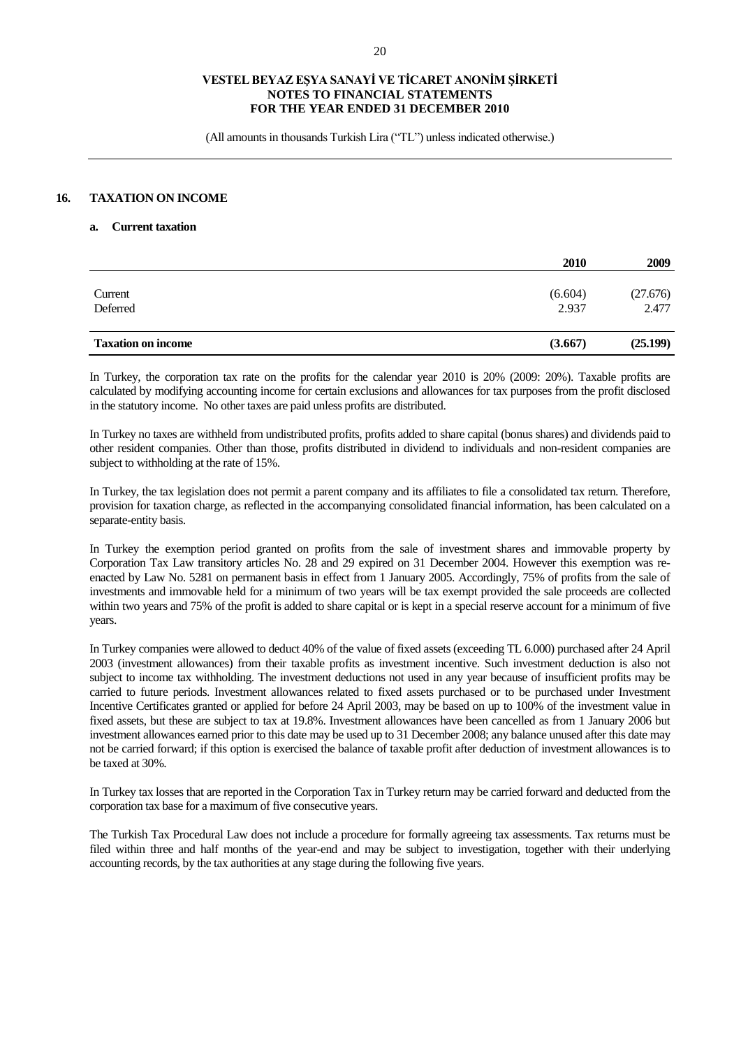(All amounts in thousands Turkish Lira ("TL") unless indicated otherwise.)

#### **16. TAXATION ON INCOME**

#### **a. Current taxation**

|                           | 2010    | 2009     |
|---------------------------|---------|----------|
|                           |         |          |
| Current                   | (6.604) | (27.676) |
| Deferred                  | 2.937   | 2.477    |
|                           |         |          |
| <b>Taxation on income</b> | (3.667) | (25.199) |

In Turkey, the corporation tax rate on the profits for the calendar year 2010 is 20% (2009: 20%). Taxable profits are calculated by modifying accounting income for certain exclusions and allowances for tax purposes from the profit disclosed in the statutory income. No other taxes are paid unless profits are distributed.

In Turkey no taxes are withheld from undistributed profits, profits added to share capital (bonus shares) and dividends paid to other resident companies. Other than those, profits distributed in dividend to individuals and non-resident companies are subject to withholding at the rate of 15%.

In Turkey, the tax legislation does not permit a parent company and its affiliates to file a consolidated tax return. Therefore, provision for taxation charge, as reflected in the accompanying consolidated financial information, has been calculated on a separate-entity basis.

In Turkey the exemption period granted on profits from the sale of investment shares and immovable property by Corporation Tax Law transitory articles No. 28 and 29 expired on 31 December 2004. However this exemption was reenacted by Law No. 5281 on permanent basis in effect from 1 January 2005. Accordingly, 75% of profits from the sale of investments and immovable held for a minimum of two years will be tax exempt provided the sale proceeds are collected within two years and 75% of the profit is added to share capital or is kept in a special reserve account for a minimum of five years.

In Turkey companies were allowed to deduct 40% of the value of fixed assets (exceeding TL 6.000) purchased after 24 April 2003 (investment allowances) from their taxable profits as investment incentive. Such investment deduction is also not subject to income tax withholding. The investment deductions not used in any year because of insufficient profits may be carried to future periods. Investment allowances related to fixed assets purchased or to be purchased under Investment Incentive Certificates granted or applied for before 24 April 2003, may be based on up to 100% of the investment value in fixed assets, but these are subject to tax at 19.8%. Investment allowances have been cancelled as from 1 January 2006 but investment allowances earned prior to this date may be used up to 31 December 2008; any balance unused after this date may not be carried forward; if this option is exercised the balance of taxable profit after deduction of investment allowances is to be taxed at 30%.

In Turkey tax losses that are reported in the Corporation Tax in Turkey return may be carried forward and deducted from the corporation tax base for a maximum of five consecutive years.

The Turkish Tax Procedural Law does not include a procedure for formally agreeing tax assessments. Tax returns must be filed within three and half months of the year-end and may be subject to investigation, together with their underlying accounting records, by the tax authorities at any stage during the following five years.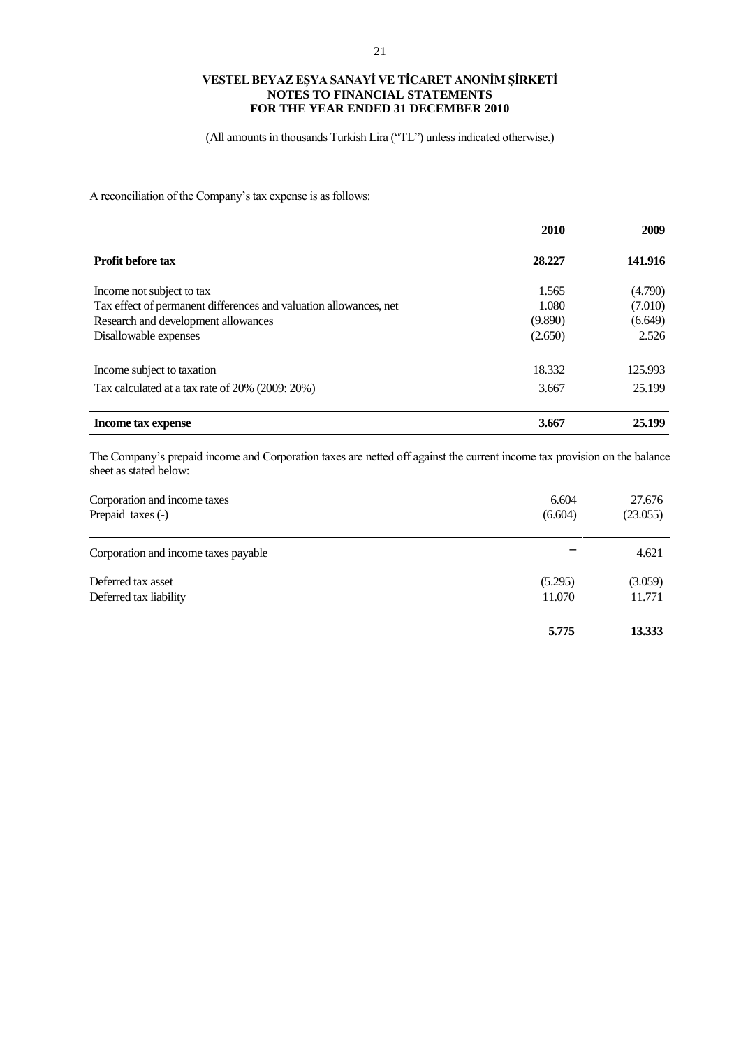(All amounts in thousands Turkish Lira ("TL") unless indicated otherwise.)

A reconciliation of the Company's tax expense is as follows:

|                                                                   | <b>2010</b> | 2009    |
|-------------------------------------------------------------------|-------------|---------|
| <b>Profit before tax</b>                                          | 28.227      | 141.916 |
| Income not subject to tax                                         | 1.565       | (4.790) |
| Tax effect of permanent differences and valuation allowances, net | 1.080       | (7.010) |
| Research and development allowances                               | (9.890)     | (6.649) |
| Disallowable expenses                                             | (2.650)     | 2.526   |
| Income subject to taxation                                        | 18.332      | 125.993 |
| Tax calculated at a tax rate of 20% (2009: 20%)                   | 3.667       | 25.199  |
| Income tax expense                                                | 3.667       | 25.199  |

The Company's prepaid income and Corporation taxes are netted off against the current income tax provision on the balance sheet as stated below:

| Corporation and income taxes         | 6.604   | 27.676   |
|--------------------------------------|---------|----------|
| Prepaid taxes (-)                    | (6.604) | (23.055) |
| Corporation and income taxes payable |         | 4.621    |
| Deferred tax asset                   | (5.295) | (3.059)  |
| Deferred tax liability               | 11.070  | 11.771   |
|                                      | 5.775   | 13.333   |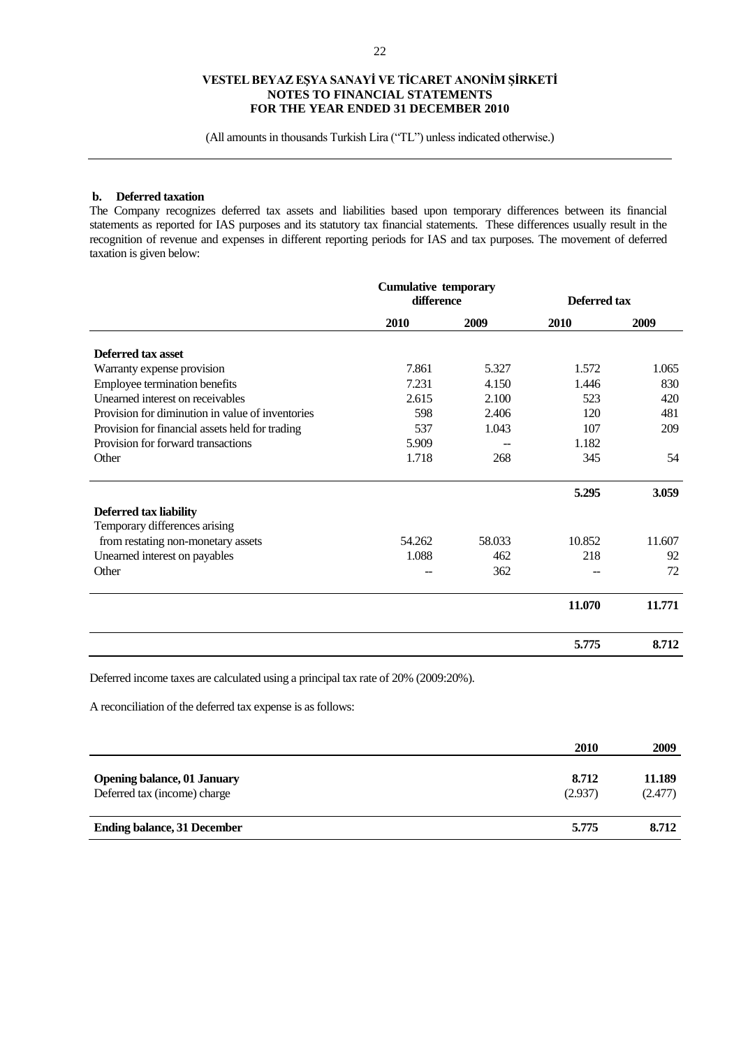(All amounts in thousands Turkish Lira ("TL") unless indicated otherwise.)

# **b. Deferred taxation**

The Company recognizes deferred tax assets and liabilities based upon temporary differences between its financial statements as reported for IAS purposes and its statutory tax financial statements. These differences usually result in the recognition of revenue and expenses in different reporting periods for IAS and tax purposes. The movement of deferred taxation is given below:

|                                                  | <b>Cumulative temporary</b><br>difference |        | Deferred tax |        |
|--------------------------------------------------|-------------------------------------------|--------|--------------|--------|
|                                                  | 2010                                      | 2009   | 2010         | 2009   |
| Deferred tax asset                               |                                           |        |              |        |
| Warranty expense provision                       | 7.861                                     | 5.327  | 1.572        | 1.065  |
| Employee termination benefits                    | 7.231                                     | 4.150  | 1.446        | 830    |
| Unearned interest on receivables                 | 2.615                                     | 2.100  | 523          | 420    |
| Provision for diminution in value of inventories | 598                                       | 2.406  | 120          | 481    |
| Provision for financial assets held for trading  | 537                                       | 1.043  | 107          | 209    |
| Provision for forward transactions               | 5.909                                     |        | 1.182        |        |
| Other                                            | 1.718                                     | 268    | 345          | 54     |
|                                                  |                                           |        | 5.295        | 3.059  |
| <b>Deferred tax liability</b>                    |                                           |        |              |        |
| Temporary differences arising                    |                                           |        |              |        |
| from restating non-monetary assets               | 54.262                                    | 58.033 | 10.852       | 11.607 |
| Unearned interest on payables                    | 1.088                                     | 462    | 218          | 92     |
| Other                                            |                                           | 362    |              | 72     |
|                                                  |                                           |        | 11.070       | 11.771 |
|                                                  |                                           |        | 5.775        | 8.712  |

Deferred income taxes are calculated using a principal tax rate of 20% (2009:20%).

A reconciliation of the deferred tax expense is as follows:

|                                                                    | 2010             | 2009              |
|--------------------------------------------------------------------|------------------|-------------------|
| <b>Opening balance, 01 January</b><br>Deferred tax (income) charge | 8.712<br>(2.937) | 11.189<br>(2.477) |
| <b>Ending balance, 31 December</b>                                 | 5.775            | 8.712             |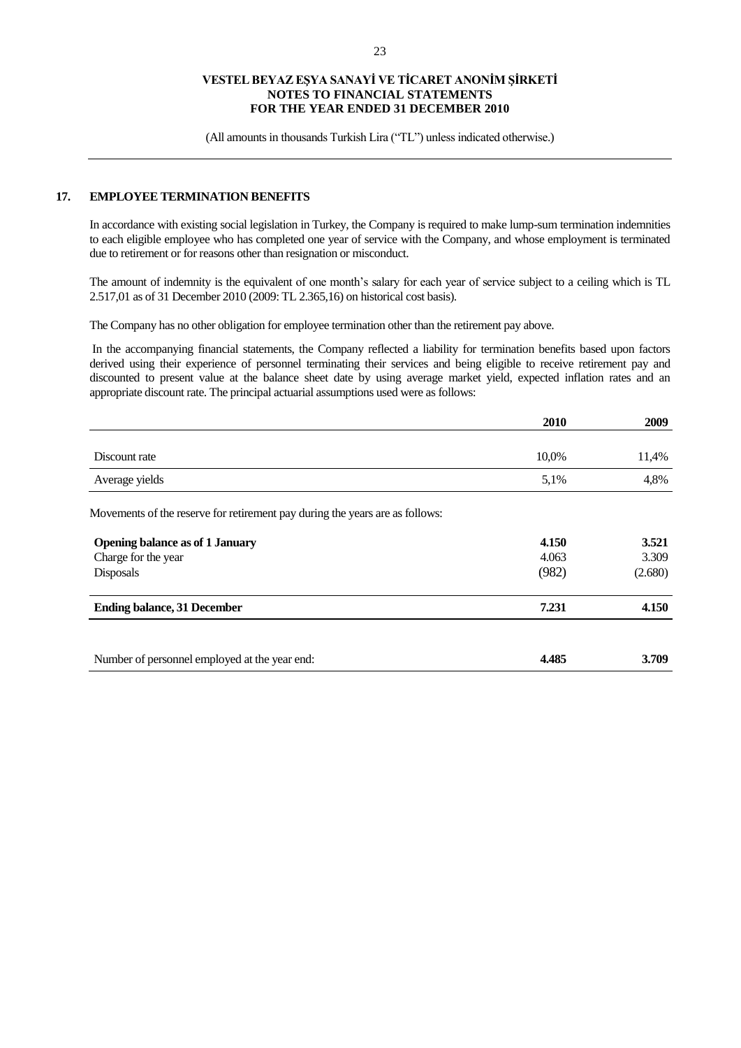(All amounts in thousands Turkish Lira ("TL") unless indicated otherwise.)

#### **17. EMPLOYEE TERMINATION BENEFITS**

In accordance with existing social legislation in Turkey, the Company is required to make lump-sum termination indemnities to each eligible employee who has completed one year of service with the Company, and whose employment is terminated due to retirement or for reasons other than resignation or misconduct.

The amount of indemnity is the equivalent of one month's salary for each year of service subject to a ceiling which is TL 2.517,01 as of 31 December 2010 (2009: TL 2.365,16) on historical cost basis).

The Company has no other obligation for employee termination other than the retirement pay above.

In the accompanying financial statements, the Company reflected a liability for termination benefits based upon factors derived using their experience of personnel terminating their services and being eligible to receive retirement pay and discounted to present value at the balance sheet date by using average market yield, expected inflation rates and an appropriate discount rate. The principal actuarial assumptions used were as follows:

|                                                                              | 2010  | 2009    |
|------------------------------------------------------------------------------|-------|---------|
|                                                                              |       |         |
| Discount rate                                                                | 10,0% | 11,4%   |
| Average yields                                                               | 5,1%  | 4,8%    |
| Movements of the reserve for retirement pay during the years are as follows: |       |         |
| <b>Opening balance as of 1 January</b>                                       | 4.150 | 3.521   |
| Charge for the year                                                          | 4.063 | 3.309   |
| Disposals                                                                    | (982) | (2.680) |
| <b>Ending balance, 31 December</b>                                           | 7.231 | 4.150   |
|                                                                              |       |         |
| Number of personnel employed at the year end:                                | 4.485 | 3.709   |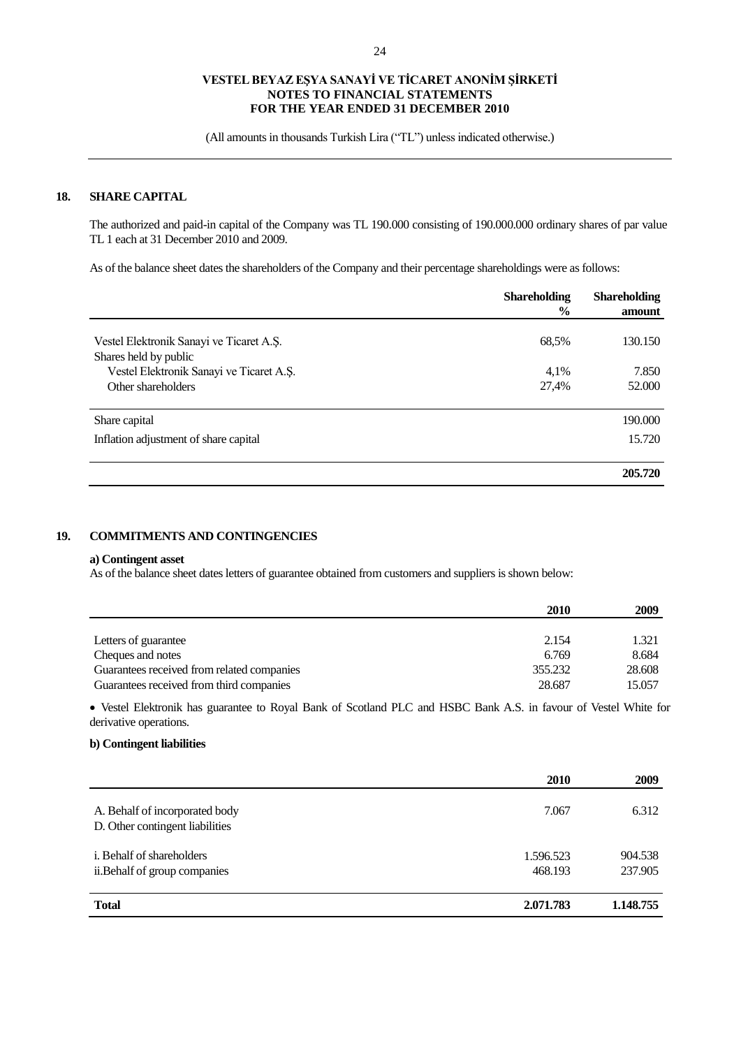(All amounts in thousands Turkish Lira ("TL") unless indicated otherwise.)

#### **18. SHARE CAPITAL**

The authorized and paid-in capital of the Company was TL 190.000 consisting of 190.000.000 ordinary shares of par value TL 1 each at 31 December 2010 and 2009.

As of the balance sheet dates the shareholders of the Company and their percentage shareholdings were as follows:

|                                                                   | <b>Shareholding</b><br>$\frac{6}{9}$ | <b>Shareholding</b><br>amount |
|-------------------------------------------------------------------|--------------------------------------|-------------------------------|
| Vestel Elektronik Sanayi ve Ticaret A.S.<br>Shares held by public | 68,5%                                | 130.150                       |
| Vestel Elektronik Sanayi ve Ticaret A.S.                          | 4,1%                                 | 7.850                         |
| Other shareholders                                                | 27,4%                                | 52,000                        |
| Share capital                                                     |                                      | 190.000                       |
| Inflation adjustment of share capital                             |                                      | 15.720                        |
|                                                                   |                                      | 205.720                       |

#### **19. COMMITMENTS AND CONTINGENCIES**

### **a) Contingent asset**

As of the balance sheet dates letters of guarantee obtained from customers and suppliers is shown below:

|                                            | 2010    | 2009   |
|--------------------------------------------|---------|--------|
|                                            |         |        |
| Letters of guarantee                       | 2.154   | 1.321  |
| Cheques and notes                          | 6.769   | 8.684  |
| Guarantees received from related companies | 355.232 | 28.608 |
| Guarantees received from third companies   | 28.687  | 15.057 |

 Vestel Elektronik has guarantee to Royal Bank of Scotland PLC and HSBC Bank A.S. in favour of Vestel White for derivative operations.

### **b) Contingent liabilities**

|                                                                   | 2010                 | 2009               |
|-------------------------------------------------------------------|----------------------|--------------------|
| A. Behalf of incorporated body<br>D. Other contingent liabilities | 7.067                | 6.312              |
| <i>i.</i> Behalf of shareholders<br>ii.Behalf of group companies  | 1.596.523<br>468.193 | 904.538<br>237.905 |
| <b>Total</b>                                                      | 2.071.783            | 1.148.755          |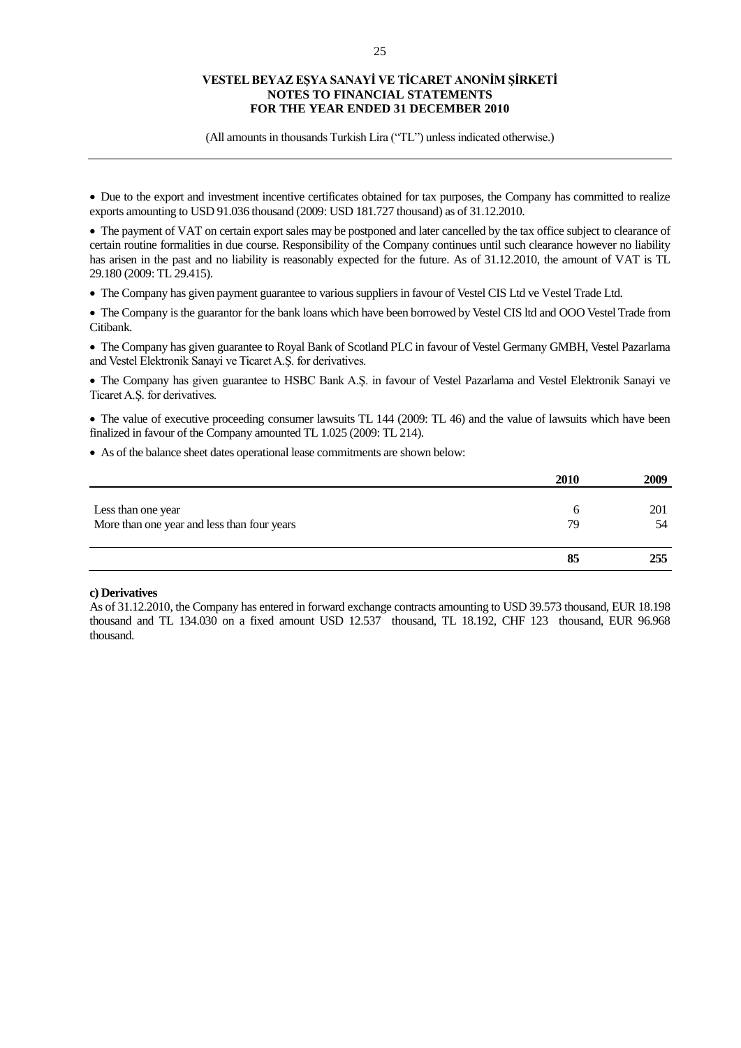(All amounts in thousands Turkish Lira ("TL") unless indicated otherwise.)

 Due to the export and investment incentive certificates obtained for tax purposes, the Company has committed to realize exports amounting to USD 91.036 thousand (2009: USD 181.727 thousand) as of 31.12.2010.

 The payment of VAT on certain export sales may be postponed and later cancelled by the tax office subject to clearance of certain routine formalities in due course. Responsibility of the Company continues until such clearance however no liability has arisen in the past and no liability is reasonably expected for the future. As of 31.12.2010, the amount of VAT is TL 29.180 (2009: TL 29.415).

The Company has given payment guarantee to various suppliers in favour of Vestel CIS Ltd ve Vestel Trade Ltd.

 The Company is the guarantor for the bank loans which have been borrowed by Vestel CIS ltd and OOO Vestel Trade from Citibank.

 The Company has given guarantee to Royal Bank of Scotland PLC in favour of Vestel Germany GMBH, Vestel Pazarlama and Vestel Elektronik Sanayi ve Ticaret A.Ş. for derivatives.

 The Company has given guarantee to HSBC Bank A.Ş. in favour of Vestel Pazarlama and Vestel Elektronik Sanayi ve Ticaret A.Ş. for derivatives.

• The value of executive proceeding consumer lawsuits TL 144 (2009: TL 46) and the value of lawsuits which have been finalized in favour of the Company amounted TL 1.025 (2009: TL 214).

As of the balance sheet dates operational lease commitments are shown below:

|                                                                   | 2010 | 2009 |
|-------------------------------------------------------------------|------|------|
|                                                                   |      | 201  |
| Less than one year<br>More than one year and less than four years | 79   | 54   |
|                                                                   |      |      |
|                                                                   | 85   | 255  |

#### **c) Derivatives**

As of 31.12.2010, the Company has entered in forward exchange contracts amounting to USD 39.573 thousand, EUR 18.198 thousand and TL 134.030 on a fixed amount USD 12.537 thousand, TL 18.192, CHF 123 thousand, EUR 96.968 thousand.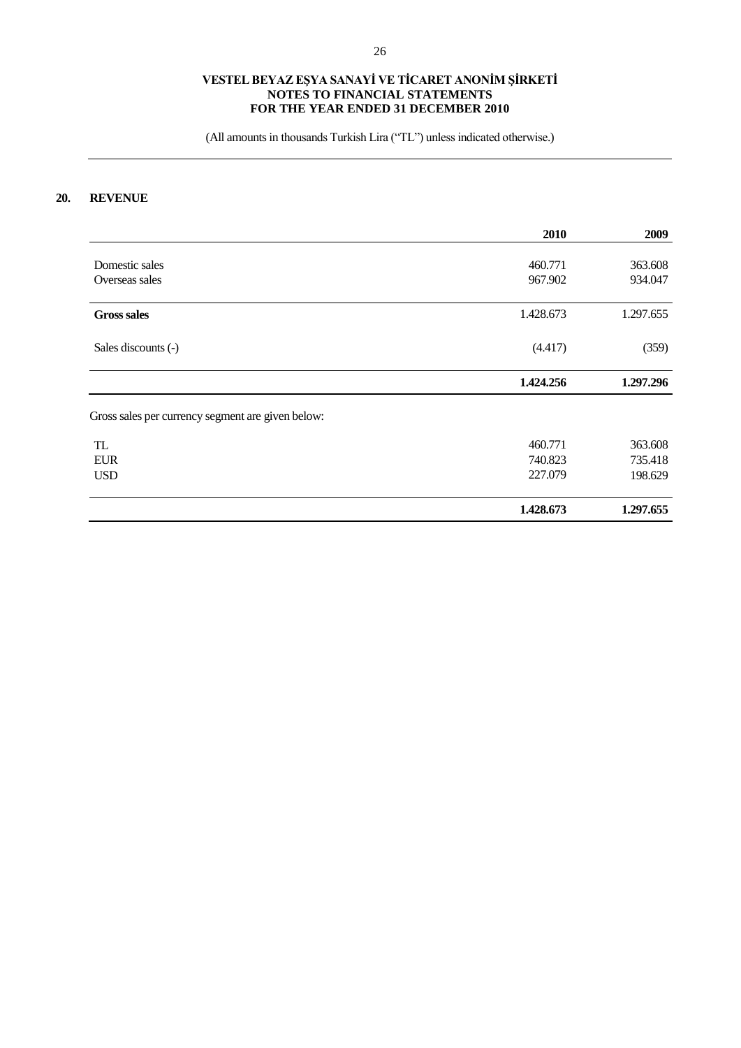(All amounts in thousands Turkish Lira ("TL") unless indicated otherwise.)

# **20. REVENUE**

|                                                   | 2010      | 2009      |
|---------------------------------------------------|-----------|-----------|
|                                                   |           |           |
| Domestic sales                                    | 460.771   | 363.608   |
| Overseas sales                                    | 967.902   | 934.047   |
| <b>Gross sales</b>                                | 1.428.673 | 1.297.655 |
| Sales discounts (-)                               | (4.417)   | (359)     |
|                                                   | 1.424.256 | 1.297.296 |
| Gross sales per currency segment are given below: |           |           |
| TL                                                | 460.771   | 363.608   |
| <b>EUR</b>                                        | 740.823   | 735.418   |
| <b>USD</b>                                        | 227.079   | 198.629   |
|                                                   | 1.428.673 | 1.297.655 |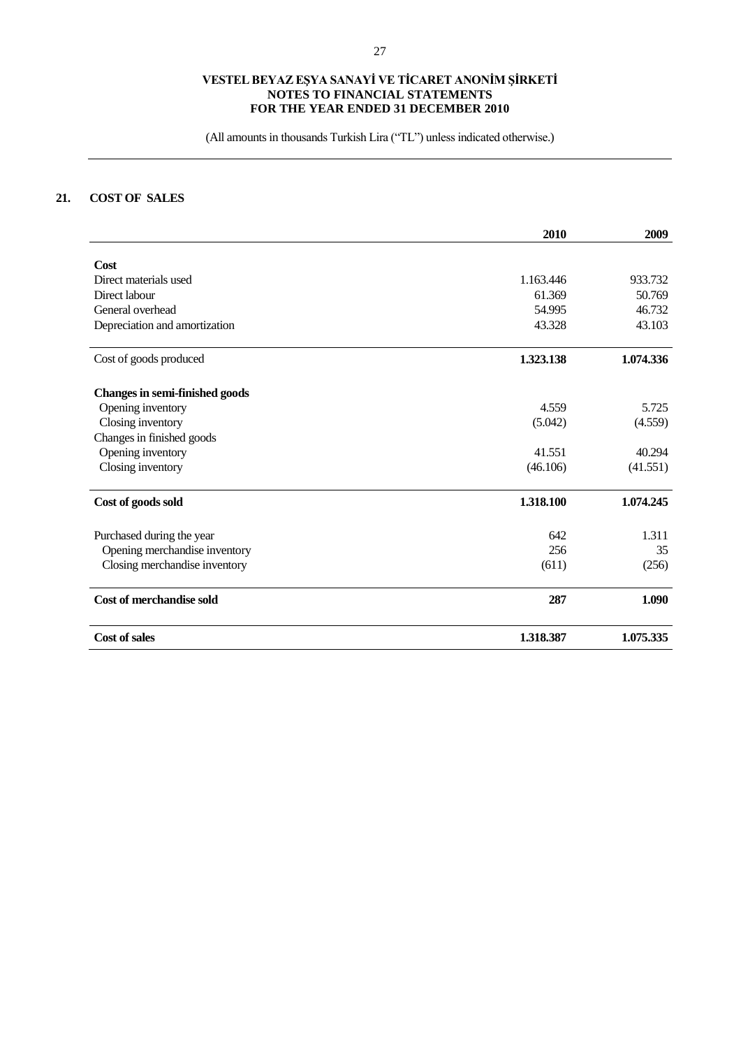(All amounts in thousands Turkish Lira ("TL") unless indicated otherwise.)

# **21. COST OF SALES**

|                                 | 2010      | 2009      |
|---------------------------------|-----------|-----------|
|                                 |           |           |
| Cost                            |           |           |
| Direct materials used           | 1.163.446 | 933.732   |
| Direct labour                   | 61.369    | 50.769    |
| General overhead                | 54.995    | 46.732    |
| Depreciation and amortization   | 43.328    | 43.103    |
| Cost of goods produced          | 1.323.138 | 1.074.336 |
| Changes in semi-finished goods  |           |           |
| Opening inventory               | 4.559     | 5.725     |
| Closing inventory               | (5.042)   | (4.559)   |
| Changes in finished goods       |           |           |
| Opening inventory               | 41.551    | 40.294    |
| Closing inventory               | (46.106)  | (41.551)  |
| Cost of goods sold              | 1.318.100 | 1.074.245 |
| Purchased during the year       | 642       | 1.311     |
| Opening merchandise inventory   | 256       | 35        |
| Closing merchandise inventory   | (611)     | (256)     |
| <b>Cost of merchandise sold</b> | 287       | 1.090     |
| <b>Cost of sales</b>            | 1.318.387 | 1.075.335 |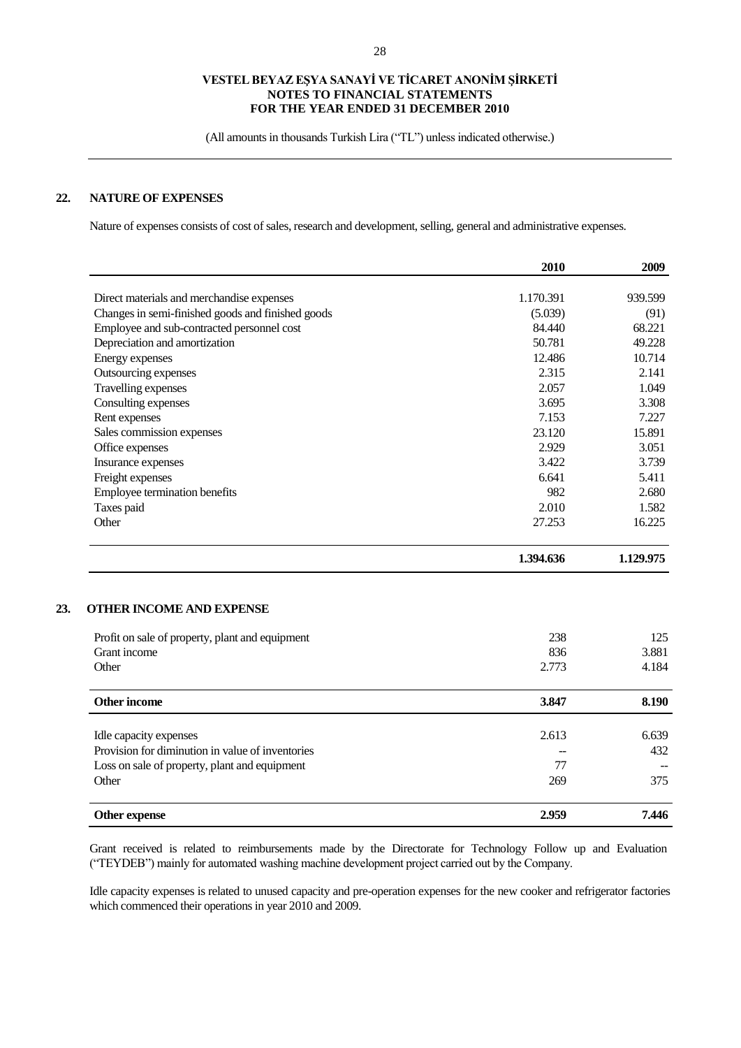(All amounts in thousands Turkish Lira ("TL") unless indicated otherwise.)

#### **22. NATURE OF EXPENSES**

Nature of expenses consists of cost of sales, research and development, selling, general and administrative expenses.

|                                                   | 2010      | 2009      |
|---------------------------------------------------|-----------|-----------|
| Direct materials and merchandise expenses         | 1.170.391 | 939.599   |
| Changes in semi-finished goods and finished goods | (5.039)   | (91)      |
| Employee and sub-contracted personnel cost        | 84.440    | 68.221    |
| Depreciation and amortization                     | 50.781    | 49.228    |
| Energy expenses                                   | 12.486    | 10.714    |
| Outsourcing expenses                              | 2.315     | 2.141     |
| Travelling expenses                               | 2.057     | 1.049     |
| Consulting expenses                               | 3.695     | 3.308     |
| Rent expenses                                     | 7.153     | 7.227     |
| Sales commission expenses                         | 23.120    | 15.891    |
| Office expenses                                   | 2.929     | 3.051     |
| Insurance expenses                                | 3.422     | 3.739     |
| Freight expenses                                  | 6.641     | 5.411     |
| Employee termination benefits                     | 982       | 2.680     |
| Taxes paid                                        | 2.010     | 1.582     |
| Other                                             | 27.253    | 16.225    |
|                                                   | 1.394.636 | 1.129.975 |
| <b>OTHER INCOME AND EXPENSE</b>                   |           |           |
| Profit on sale of property, plant and equipment   | 238       | 125       |
| Grant income                                      | 836       | 3.881     |
| Other                                             | 2.773     | 4.184     |
| <b>Other income</b>                               | 3.847     | 8.190     |
| Idle capacity expenses                            | 2.613     | 6.639     |
| Provision for diminution in value of inventories  |           | 432       |
| Loss on sale of property, plant and equipment     | 77        |           |
| Other                                             | 269       | 375       |
| Other expense                                     | 2.959     | 7.446     |

Grant received is related to reimbursements made by the Directorate for Technology Follow up and Evaluation ("TEYDEB") mainly for automated washing machine development project carried out by the Company.

Idle capacity expenses is related to unused capacity and pre-operation expenses for the new cooker and refrigerator factories which commenced their operations in year 2010 and 2009.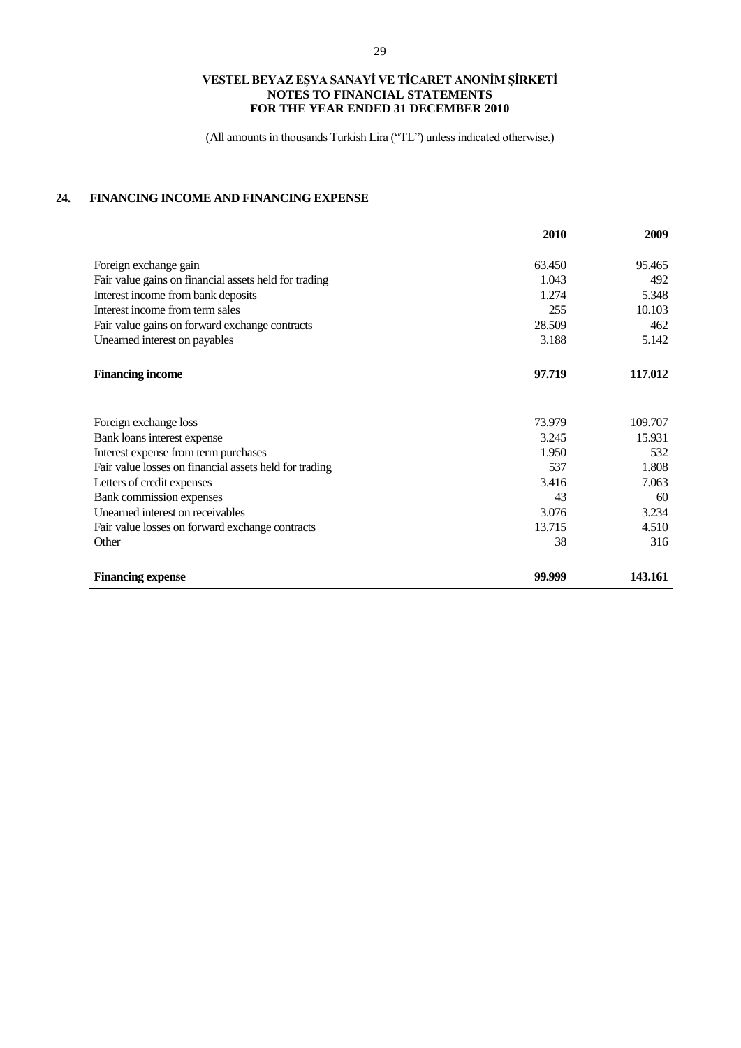(All amounts in thousands Turkish Lira ("TL") unless indicated otherwise.)

## **24. FINANCING INCOME AND FINANCING EXPENSE**

|                                                        | 2010   | 2009    |
|--------------------------------------------------------|--------|---------|
|                                                        |        |         |
| Foreign exchange gain                                  | 63.450 | 95.465  |
| Fair value gains on financial assets held for trading  | 1.043  | 492     |
| Interest income from bank deposits                     | 1.274  | 5.348   |
| Interest income from term sales                        | 255    | 10.103  |
| Fair value gains on forward exchange contracts         | 28.509 | 462     |
| Unearned interest on payables                          | 3.188  | 5.142   |
| <b>Financing income</b>                                | 97.719 | 117.012 |
|                                                        |        |         |
| Foreign exchange loss                                  | 73.979 | 109.707 |
| Bank loans interest expense                            | 3.245  | 15.931  |
| Interest expense from term purchases                   | 1.950  | 532     |
| Fair value losses on financial assets held for trading | 537    | 1.808   |
| Letters of credit expenses                             | 3.416  | 7.063   |
| Bank commission expenses                               | 43     | 60      |
| Unearned interest on receivables                       | 3.076  | 3.234   |
| Fair value losses on forward exchange contracts        | 13.715 | 4.510   |
| Other                                                  | 38     | 316     |
| <b>Financing expense</b>                               | 99.999 | 143.161 |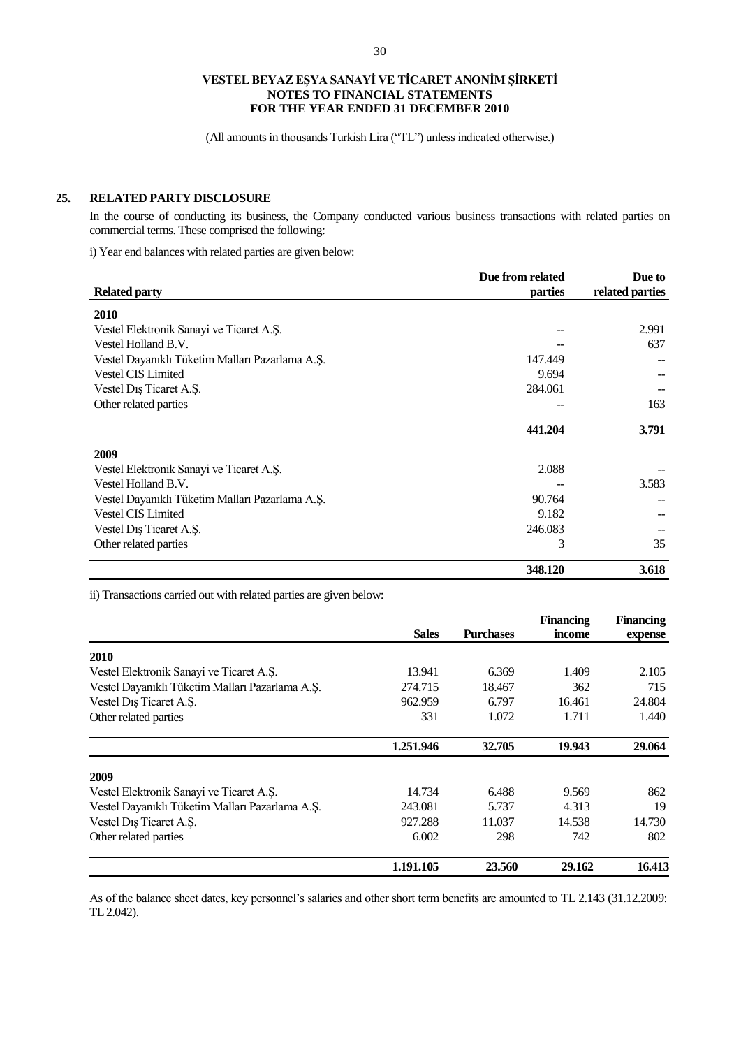(All amounts in thousands Turkish Lira ("TL") unless indicated otherwise.)

#### **25. RELATED PARTY DISCLOSURE**

In the course of conducting its business, the Company conducted various business transactions with related parties on commercial terms. These comprised the following:

i) Year end balances with related parties are given below:

|                                                 | Due from related | Due to          |
|-------------------------------------------------|------------------|-----------------|
| <b>Related party</b>                            | parties          | related parties |
| 2010                                            |                  |                 |
| Vestel Elektronik Sanayi ve Ticaret A.S.        | --               | 2.991           |
| Vestel Holland B.V.                             |                  | 637             |
| Vestel Dayanıklı Tüketim Malları Pazarlama A.Ş. | 147.449          |                 |
| <b>Vestel CIS Limited</b>                       | 9.694            |                 |
| Vestel Diş Ticaret A.Ş.                         | 284.061          |                 |
| Other related parties                           | --               | 163             |
|                                                 | 441.204          | 3.791           |
| 2009                                            |                  |                 |
| Vestel Elektronik Sanayi ve Ticaret A.S.        | 2.088            |                 |
| Vestel Holland B.V.                             |                  | 3.583           |
| Vestel Dayanıklı Tüketim Malları Pazarlama A.Ş. | 90.764           |                 |
| <b>Vestel CIS Limited</b>                       | 9.182            |                 |
| Vestel Diş Ticaret A.Ş.                         | 246.083          |                 |
| Other related parties                           | 3                | 35              |
|                                                 | 348.120          | 3.618           |

ii) Transactions carried out with related parties are given below:

|                                                 |              |                  | <b>Financing</b> | <b>Financing</b> |
|-------------------------------------------------|--------------|------------------|------------------|------------------|
|                                                 | <b>Sales</b> | <b>Purchases</b> | income           | expense          |
| 2010                                            |              |                  |                  |                  |
| Vestel Elektronik Sanayi ve Ticaret A.S.        | 13.941       | 6.369            | 1.409            | 2.105            |
| Vestel Dayanıklı Tüketim Malları Pazarlama A.Ş. | 274.715      | 18.467           | 362              | 715              |
| Vestel Dis Ticaret A.S.                         | 962.959      | 6.797            | 16.461           | 24.804           |
| Other related parties                           | 331          | 1.072            | 1.711            | 1.440            |
|                                                 | 1.251.946    | 32.705           | 19.943           | 29.064           |
| 2009                                            |              |                  |                  |                  |
| Vestel Elektronik Sanayi ve Ticaret A.S.        | 14.734       | 6.488            | 9.569            | 862              |
| Vestel Dayanıklı Tüketim Malları Pazarlama A.S. | 243.081      | 5.737            | 4.313            | 19               |
| Vestel Diş Ticaret A.Ş.                         | 927.288      | 11.037           | 14.538           | 14.730           |
| Other related parties                           | 6.002        | 298              | 742              | 802              |
|                                                 | 1.191.105    | 23.560           | 29.162           | 16.413           |

As of the balance sheet dates, key personnel's salaries and other short term benefits are amounted to TL 2.143 (31.12.2009: TL 2.042).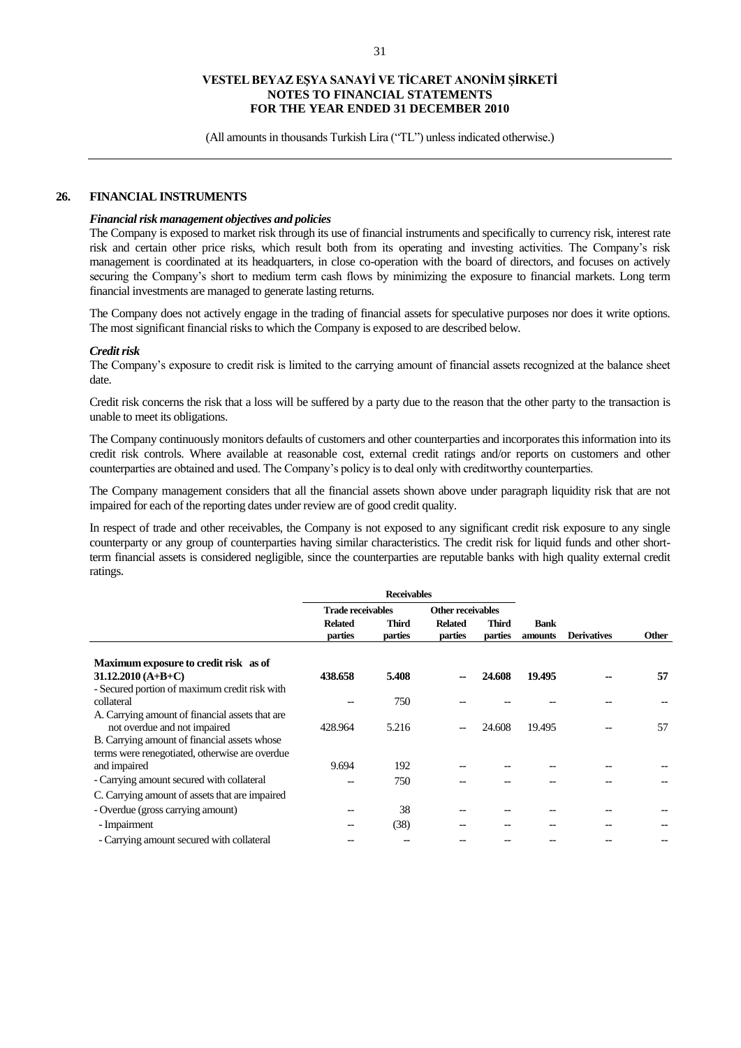(All amounts in thousands Turkish Lira ("TL") unless indicated otherwise.)

#### **26. FINANCIAL INSTRUMENTS**

#### *Financial risk management objectives and policies*

The Company is exposed to market risk through its use of financial instruments and specifically to currency risk, interest rate risk and certain other price risks, which result both from its operating and investing activities. The Company's risk management is coordinated at its headquarters, in close co-operation with the board of directors, and focuses on actively securing the Company's short to medium term cash flows by minimizing the exposure to financial markets. Long term financial investments are managed to generate lasting returns.

The Company does not actively engage in the trading of financial assets for speculative purposes nor does it write options. The most significant financial risks to which the Company is exposed to are described below.

#### *Credit risk*

The Company's exposure to credit risk is limited to the carrying amount of financial assets recognized at the balance sheet date.

Credit risk concerns the risk that a loss will be suffered by a party due to the reason that the other party to the transaction is unable to meet its obligations.

The Company continuously monitors defaults of customers and other counterparties and incorporates this information into its credit risk controls. Where available at reasonable cost, external credit ratings and/or reports on customers and other counterparties are obtained and used. The Company's policy is to deal only with creditworthy counterparties.

The Company management considers that all the financial assets shown above under paragraph liquidity risk that are not impaired for each of the reporting dates under review are of good credit quality.

In respect of trade and other receivables, the Company is not exposed to any significant credit risk exposure to any single counterparty or any group of counterparties having similar characteristics. The credit risk for liquid funds and other shortterm financial assets is considered negligible, since the counterparties are reputable banks with high quality external credit ratings.

|                                                                                                | <b>Receivables</b>                                   |                         |                           |                         |                        |                    |              |
|------------------------------------------------------------------------------------------------|------------------------------------------------------|-------------------------|---------------------------|-------------------------|------------------------|--------------------|--------------|
|                                                                                                | <b>Other receivables</b><br><b>Trade receivables</b> |                         |                           |                         |                        |                    |              |
|                                                                                                | <b>Related</b><br>parties                            | <b>Third</b><br>parties | <b>Related</b><br>parties | <b>Third</b><br>parties | <b>Bank</b><br>amounts | <b>Derivatives</b> | <b>Other</b> |
| Maximum exposure to credit risk as of                                                          |                                                      |                         |                           |                         |                        |                    |              |
| $31.12.2010(A+B+C)$                                                                            | 438.658                                              | 5.408                   |                           | 24.608                  | 19.495                 |                    | 57           |
| - Secured portion of maximum credit risk with                                                  |                                                      |                         |                           |                         |                        |                    |              |
| collateral                                                                                     |                                                      | 750                     |                           |                         |                        |                    |              |
| A. Carrying amount of financial assets that are<br>not overdue and not impaired                | 428.964                                              | 5.216                   |                           | 24.608                  | 19.495                 |                    | 57           |
| B. Carrying amount of financial assets whose<br>terms were renegotiated, otherwise are overdue |                                                      |                         |                           |                         |                        |                    |              |
| and impaired                                                                                   | 9.694                                                | 192                     |                           |                         |                        |                    |              |
| - Carrying amount secured with collateral                                                      |                                                      | 750                     |                           |                         |                        |                    |              |
| C. Carrying amount of assets that are impaired                                                 |                                                      |                         |                           |                         |                        |                    |              |
| - Overdue (gross carrying amount)                                                              |                                                      | 38                      |                           |                         |                        |                    |              |
| - Impairment                                                                                   |                                                      | (38)                    |                           |                         |                        |                    |              |
| - Carrying amount secured with collateral                                                      |                                                      |                         |                           |                         |                        |                    |              |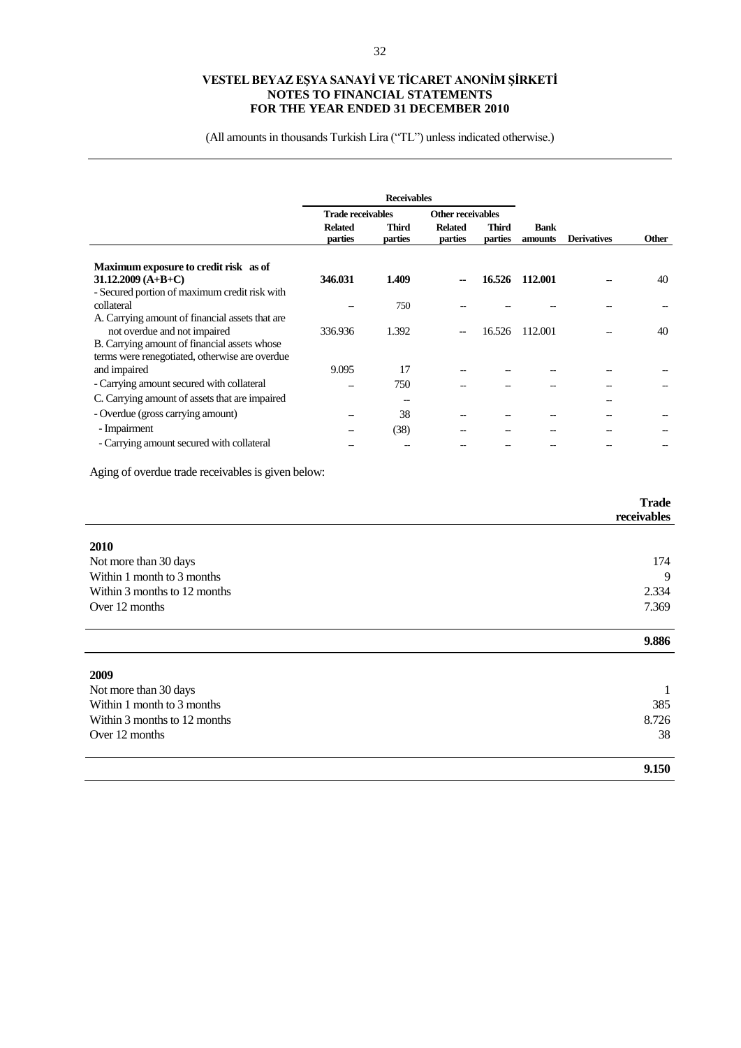(All amounts in thousands Turkish Lira ("TL") unless indicated otherwise.)

|                                                                                                                                 | <b>Receivables</b>                            |                         |                           |                         |                        |                    |              |
|---------------------------------------------------------------------------------------------------------------------------------|-----------------------------------------------|-------------------------|---------------------------|-------------------------|------------------------|--------------------|--------------|
|                                                                                                                                 | <b>Trade receivables</b><br>Other receivables |                         |                           |                         |                        |                    |              |
|                                                                                                                                 | <b>Related</b><br>parties                     | <b>Third</b><br>parties | <b>Related</b><br>parties | <b>Third</b><br>parties | <b>Bank</b><br>amounts | <b>Derivatives</b> | <b>Other</b> |
| Maximum exposure to credit risk as of                                                                                           |                                               |                         |                           |                         |                        |                    |              |
| $31.12.2009(A+B+C)$                                                                                                             | 346.031                                       | 1.409                   |                           |                         | 16.526 112.001         |                    | 40           |
| - Secured portion of maximum credit risk with                                                                                   |                                               |                         |                           |                         |                        |                    |              |
| collateral                                                                                                                      |                                               | 750                     |                           |                         |                        |                    |              |
| A. Carrying amount of financial assets that are<br>not overdue and not impaired<br>B. Carrying amount of financial assets whose | 336.936                                       | 1.392                   |                           | 16.526                  | 112.001                |                    | 40           |
| terms were renegotiated, otherwise are overdue                                                                                  |                                               |                         |                           |                         |                        |                    |              |
| and impaired                                                                                                                    | 9.095                                         | 17                      |                           |                         |                        |                    |              |
| - Carrying amount secured with collateral                                                                                       |                                               | 750                     |                           |                         |                        |                    |              |
| C. Carrying amount of assets that are impaired                                                                                  |                                               | --                      |                           |                         |                        |                    |              |
| - Overdue (gross carrying amount)                                                                                               |                                               | 38                      |                           |                         |                        |                    |              |
| - Impairment                                                                                                                    |                                               | (38)                    |                           |                         |                        |                    |              |
| - Carrying amount secured with collateral                                                                                       |                                               |                         |                           |                         |                        |                    |              |

Aging of overdue trade receivables is given below:

|                              | <b>Trade</b> |
|------------------------------|--------------|
|                              | receivables  |
| <b>2010</b>                  |              |
| Not more than 30 days        | 174          |
| Within 1 month to 3 months   | 9            |
| Within 3 months to 12 months | 2.334        |
| Over 12 months               | 7.369        |
|                              | 9.886        |
| 2009                         |              |
| Not more than 30 days        |              |
| Within 1 month to 3 months   | 385          |
| Within 3 months to 12 months | 8.726        |
| Over 12 months               | 38           |
|                              | 9.150        |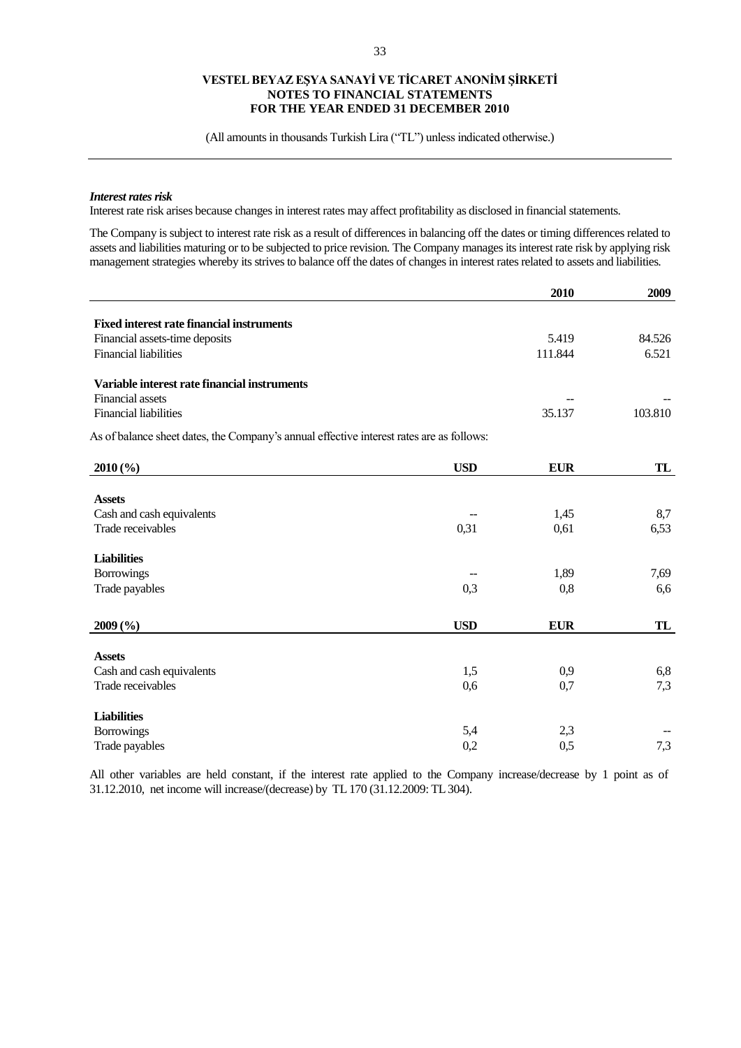(All amounts in thousands Turkish Lira ("TL") unless indicated otherwise.)

#### *Interest rates risk*

Interest rate risk arises because changes in interest rates may affect profitability as disclosed in financial statements.

The Company is subject to interest rate risk as a result of differences in balancing off the dates or timing differences related to assets and liabilities maturing or to be subjected to price revision. The Company manages its interest rate risk by applying risk management strategies whereby its strives to balance off the dates of changes in interest rates related to assets and liabilities.

|                                                                                          |     | 2010       | 2009    |
|------------------------------------------------------------------------------------------|-----|------------|---------|
| <b>Fixed interest rate financial instruments</b>                                         |     |            |         |
| Financial assets-time deposits                                                           |     | 5.419      | 84.526  |
| <b>Financial liabilities</b>                                                             |     | 111.844    | 6.521   |
| Variable interest rate financial instruments                                             |     |            |         |
| Financial assets                                                                         |     |            |         |
| <b>Financial liabilities</b>                                                             |     | 35.137     | 103.810 |
| As of balance sheet dates, the Company's annual effective interest rates are as follows: |     |            |         |
| $2010\,(%)$                                                                              | USD | <b>EUR</b> | TL      |

| --         | 1,45                   | 8,7                                     |
|------------|------------------------|-----------------------------------------|
| 0,31       | 0,61                   | 6,53                                    |
|            |                        |                                         |
| $- -$      |                        | 7,69                                    |
|            |                        | 6,6                                     |
|            |                        |                                         |
| <b>USD</b> | <b>EUR</b>             | TL                                      |
|            |                        |                                         |
|            |                        | 6,8                                     |
|            |                        | 7,3                                     |
|            |                        |                                         |
|            |                        |                                         |
| 5,4        | 2,3                    |                                         |
|            |                        |                                         |
|            | ິ<br>0,3<br>1,5<br>0,6 | <b>MAR</b><br>1,89<br>0,8<br>0,9<br>0,7 |

All other variables are held constant, if the interest rate applied to the Company increase/decrease by 1 point as of 31.12.2010, net income will increase/(decrease) by TL 170 (31.12.2009: TL 304).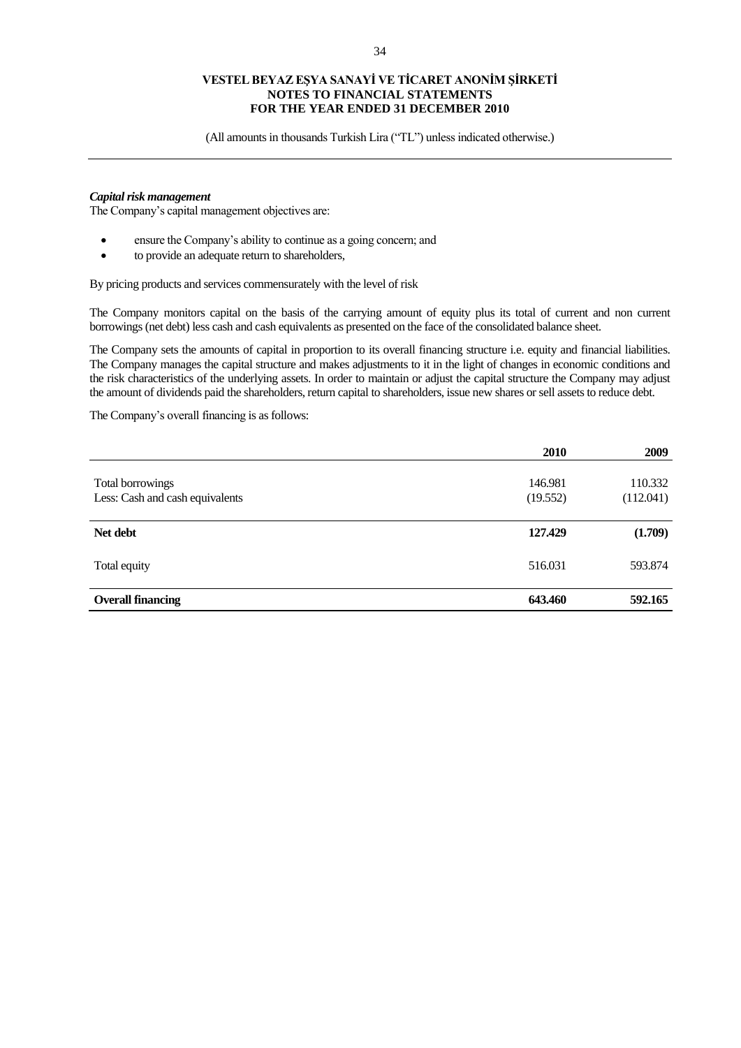(All amounts in thousands Turkish Lira ("TL") unless indicated otherwise.)

#### *Capital risk management*

The Company's capital management objectives are:

- ensure the Company's ability to continue as a going concern; and
- to provide an adequate return to shareholders,

By pricing products and services commensurately with the level of risk

The Company monitors capital on the basis of the carrying amount of equity plus its total of current and non current borrowings (net debt) less cash and cash equivalents as presented on the face of the consolidated balance sheet.

The Company sets the amounts of capital in proportion to its overall financing structure i.e. equity and financial liabilities. The Company manages the capital structure and makes adjustments to it in the light of changes in economic conditions and the risk characteristics of the underlying assets. In order to maintain or adjust the capital structure the Company may adjust the amount of dividends paid the shareholders, return capital to shareholders, issue new shares or sell assets to reduce debt.

The Company's overall financing is as follows:

|                                 | <b>2010</b> | 2009      |
|---------------------------------|-------------|-----------|
|                                 |             |           |
| Total borrowings                | 146.981     | 110.332   |
| Less: Cash and cash equivalents | (19.552)    | (112.041) |
|                                 |             |           |
| Net debt                        | 127.429     | (1.709)   |
| Total equity                    | 516.031     | 593.874   |
| <b>Overall financing</b>        | 643.460     | 592.165   |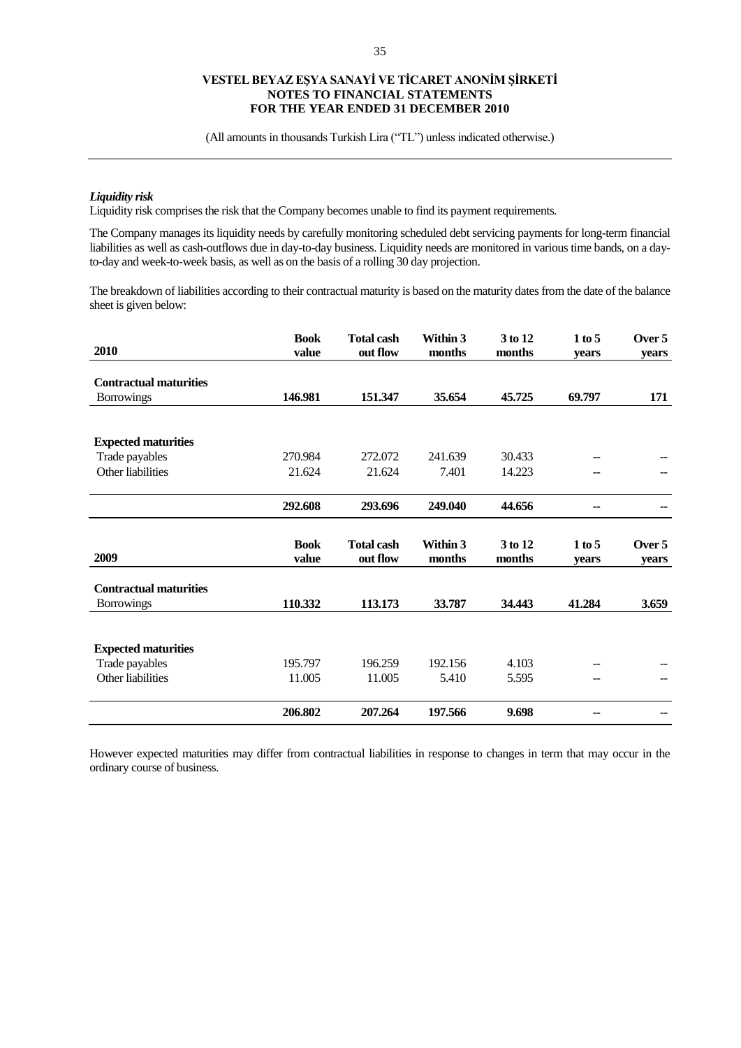(All amounts in thousands Turkish Lira ("TL") unless indicated otherwise.)

### *Liquidity risk*

Liquidity risk comprises the risk that the Company becomes unable to find its payment requirements.

The Company manages its liquidity needs by carefully monitoring scheduled debt servicing payments for long-term financial liabilities as well as cash-outflows due in day-to-day business. Liquidity needs are monitored in various time bands, on a dayto-day and week-to-week basis, as well as on the basis of a rolling 30 day projection.

The breakdown of liabilities according to their contractual maturity is based on the maturity dates from the date of the balance sheet is given below:

| 2010                          | <b>Book</b><br>value | <b>Total cash</b><br>out flow | Within 3<br>months | 3 to 12<br>months | 1 to 5<br>years | Over 5<br>years          |
|-------------------------------|----------------------|-------------------------------|--------------------|-------------------|-----------------|--------------------------|
| <b>Contractual maturities</b> |                      |                               |                    |                   |                 |                          |
| <b>Borrowings</b>             | 146.981              | 151.347                       | 35.654             | 45.725            | 69.797          | 171                      |
|                               |                      |                               |                    |                   |                 |                          |
| <b>Expected maturities</b>    |                      |                               |                    |                   |                 |                          |
| Trade payables                | 270.984              | 272.072                       | 241.639            | 30.433            |                 |                          |
| Other liabilities             | 21.624               | 21.624                        | 7.401              | 14.223            |                 |                          |
|                               | 292.608              | 293.696                       | 249.040            | 44.656            | --              |                          |
|                               |                      |                               |                    |                   |                 |                          |
| 2009                          | <b>Book</b><br>value | <b>Total cash</b><br>out flow | Within 3<br>months | 3 to 12<br>months | 1 to 5<br>years | Over 5<br>years          |
| <b>Contractual maturities</b> |                      |                               |                    |                   |                 |                          |
| <b>Borrowings</b>             | 110.332              | 113.173                       | 33.787             | 34.443            | 41.284          | 3.659                    |
|                               |                      |                               |                    |                   |                 |                          |
| <b>Expected maturities</b>    |                      |                               |                    |                   |                 |                          |
| Trade payables                | 195.797              | 196.259                       | 192.156            | 4.103             |                 |                          |
| Other liabilities             | 11.005               | 11.005                        | 5.410              | 5.595             | --              |                          |
|                               | 206.802              | 207.264                       | 197.566            | 9.698             | --              | $\overline{\phantom{a}}$ |

However expected maturities may differ from contractual liabilities in response to changes in term that may occur in the ordinary course of business.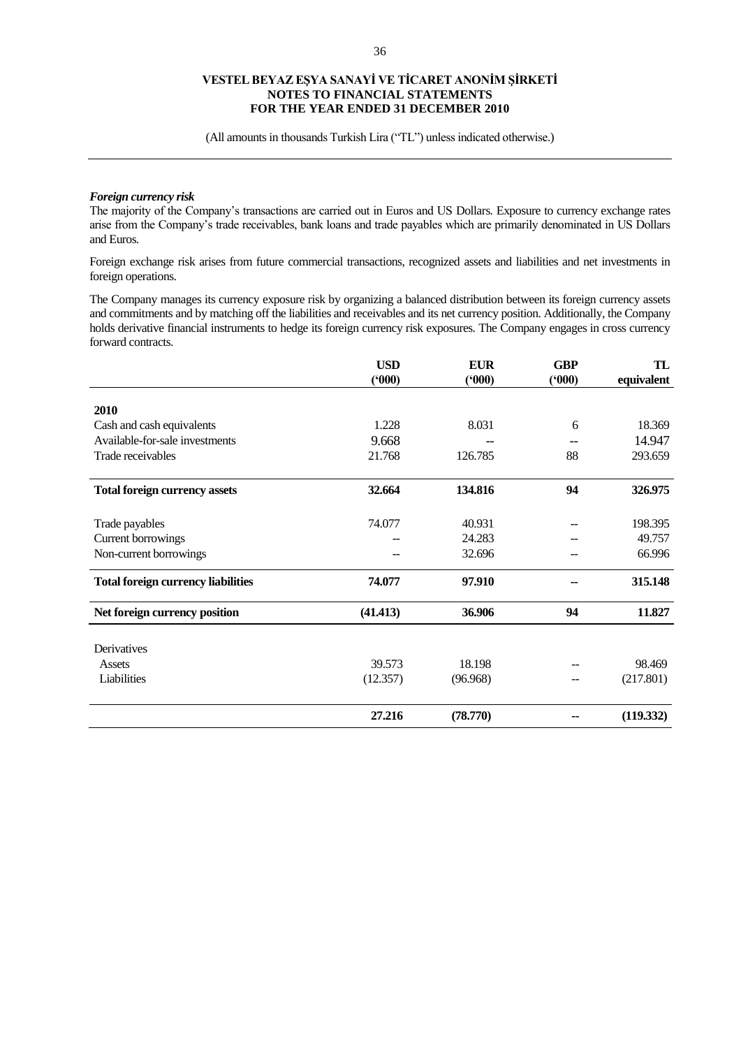(All amounts in thousands Turkish Lira ("TL") unless indicated otherwise.)

#### *Foreign currency risk*

The majority of the Company's transactions are carried out in Euros and US Dollars. Exposure to currency exchange rates arise from the Company's trade receivables, bank loans and trade payables which are primarily denominated in US Dollars and Euros.

Foreign exchange risk arises from future commercial transactions, recognized assets and liabilities and net investments in foreign operations.

The Company manages its currency exposure risk by organizing a balanced distribution between its foreign currency assets and commitments and by matching off the liabilities and receivables and its net currency position. Additionally, the Company holds derivative financial instruments to hedge its foreign currency risk exposures. The Company engages in cross currency forward contracts.

|                                           | <b>USD</b><br>(900) | <b>EUR</b><br>(900) | <b>GBP</b><br>(900) | TL<br>equivalent |
|-------------------------------------------|---------------------|---------------------|---------------------|------------------|
| 2010                                      |                     |                     |                     |                  |
| Cash and cash equivalents                 | 1.228               | 8.031               | 6                   | 18.369           |
| Available-for-sale investments            | 9.668               |                     |                     | 14.947           |
| Trade receivables                         | 21.768              | 126.785             | 88                  | 293.659          |
| <b>Total foreign currency assets</b>      | 32.664              | 134.816             | 94                  | 326.975          |
| Trade payables                            | 74.077              | 40.931              |                     | 198.395          |
| Current borrowings                        |                     | 24.283              |                     | 49.757           |
| Non-current borrowings                    |                     | 32.696              |                     | 66.996           |
| <b>Total foreign currency liabilities</b> | 74.077              | 97.910              |                     | 315.148          |
| Net foreign currency position             | (41.413)            | 36.906              | 94                  | 11.827           |
| Derivatives                               |                     |                     |                     |                  |
| Assets                                    | 39.573              | 18.198              |                     | 98.469           |
| Liabilities                               | (12.357)            | (96.968)            |                     | (217.801)        |
|                                           | 27.216              | (78.770)            |                     | (119.332)        |